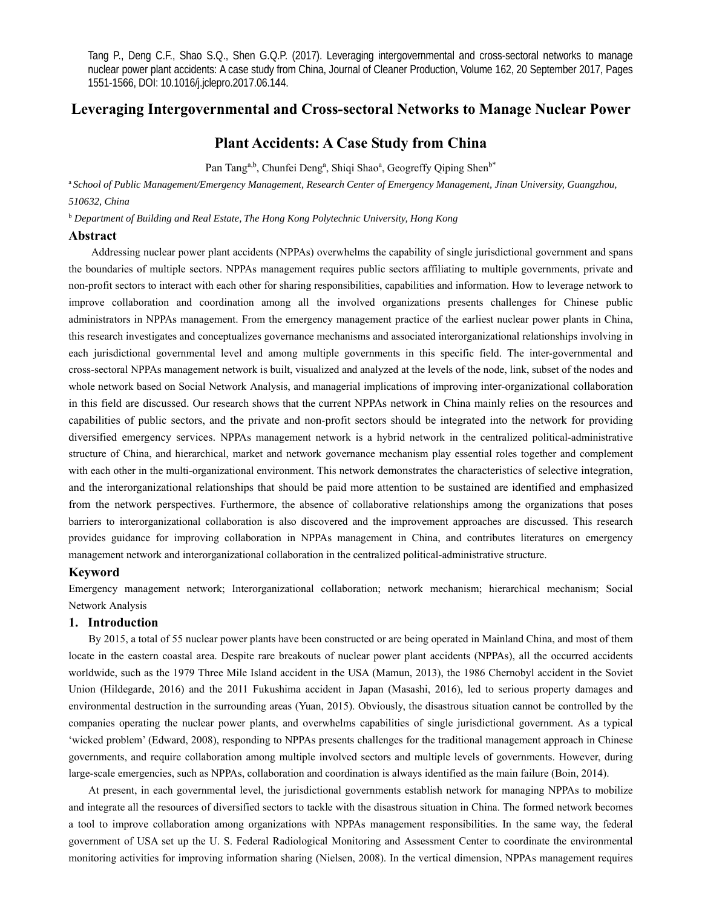# **Leveraging Intergovernmental and Cross-sectoral Networks to Manage Nuclear Power**

# **Plant Accidents: A Case Study from China**

Pan Tang<sup>a,b</sup>, Chunfei Deng<sup>a</sup>, Shiqi Shao<sup>a</sup>, Geogreffy Qiping Shen<sup>b\*</sup>

<sup>a</sup> *School of Public Management/Emergency Management, Research Center of Emergency Management, Jinan University, Guangzhou, 510632, China* 

<sup>b</sup> *Department of Building and Real Estate, The Hong Kong Polytechnic University, Hong Kong*

## **Abstract**

Addressing nuclear power plant accidents (NPPAs) overwhelms the capability of single jurisdictional government and spans the boundaries of multiple sectors. NPPAs management requires public sectors affiliating to multiple governments, private and non-profit sectors to interact with each other for sharing responsibilities, capabilities and information. How to leverage network to improve collaboration and coordination among all the involved organizations presents challenges for Chinese public administrators in NPPAs management. From the emergency management practice of the earliest nuclear power plants in China, this research investigates and conceptualizes governance mechanisms and associated interorganizational relationships involving in each jurisdictional governmental level and among multiple governments in this specific field. The inter-governmental and cross-sectoral NPPAs management network is built, visualized and analyzed at the levels of the node, link, subset of the nodes and whole network based on Social Network Analysis, and managerial implications of improving inter-organizational collaboration in this field are discussed. Our research shows that the current NPPAs network in China mainly relies on the resources and capabilities of public sectors, and the private and non-profit sectors should be integrated into the network for providing diversified emergency services. NPPAs management network is a hybrid network in the centralized political-administrative structure of China, and hierarchical, market and network governance mechanism play essential roles together and complement with each other in the multi-organizational environment. This network demonstrates the characteristics of selective integration, and the interorganizational relationships that should be paid more attention to be sustained are identified and emphasized from the network perspectives. Furthermore, the absence of collaborative relationships among the organizations that poses barriers to interorganizational collaboration is also discovered and the improvement approaches are discussed. This research provides guidance for improving collaboration in NPPAs management in China, and contributes literatures on emergency management network and interorganizational collaboration in the centralized political-administrative structure.

## **Keyword**

Emergency management network; Interorganizational collaboration; network mechanism; hierarchical mechanism; Social Network Analysis

### **1. Introduction**

By 2015, a total of 55 nuclear power plants have been constructed or are being operated in Mainland China, and most of them locate in the eastern coastal area. Despite rare breakouts of nuclear power plant accidents (NPPAs), all the occurred accidents worldwide, such as the 1979 Three Mile Island accident in the USA (Mamun, 2013), the 1986 Chernobyl accident in the Soviet Union (Hildegarde, 2016) and the 2011 Fukushima accident in Japan (Masashi, 2016), led to serious property damages and environmental destruction in the surrounding areas (Yuan, 2015). Obviously, the disastrous situation cannot be controlled by the companies operating the nuclear power plants, and overwhelms capabilities of single jurisdictional government. As a typical 'wicked problem' (Edward, 2008), responding to NPPAs presents challenges for the traditional management approach in Chinese governments, and require collaboration among multiple involved sectors and multiple levels of governments. However, during large-scale emergencies, such as NPPAs, collaboration and coordination is always identified as the main failure (Boin, 2014).

At present, in each governmental level, the jurisdictional governments establish network for managing NPPAs to mobilize and integrate all the resources of diversified sectors to tackle with the disastrous situation in China. The formed network becomes a tool to improve collaboration among organizations with NPPAs management responsibilities. In the same way, the federal government of USA set up the U. S. Federal Radiological Monitoring and Assessment Center to coordinate the environmental monitoring activities for improving information sharing (Nielsen, 2008). In the vertical dimension, NPPAs management requires

© 2017 This manuscript version is made available under the CC-BY-NC-ND 4.0 license http://creativecommons.org/licenses/by-nc-nd/4.0/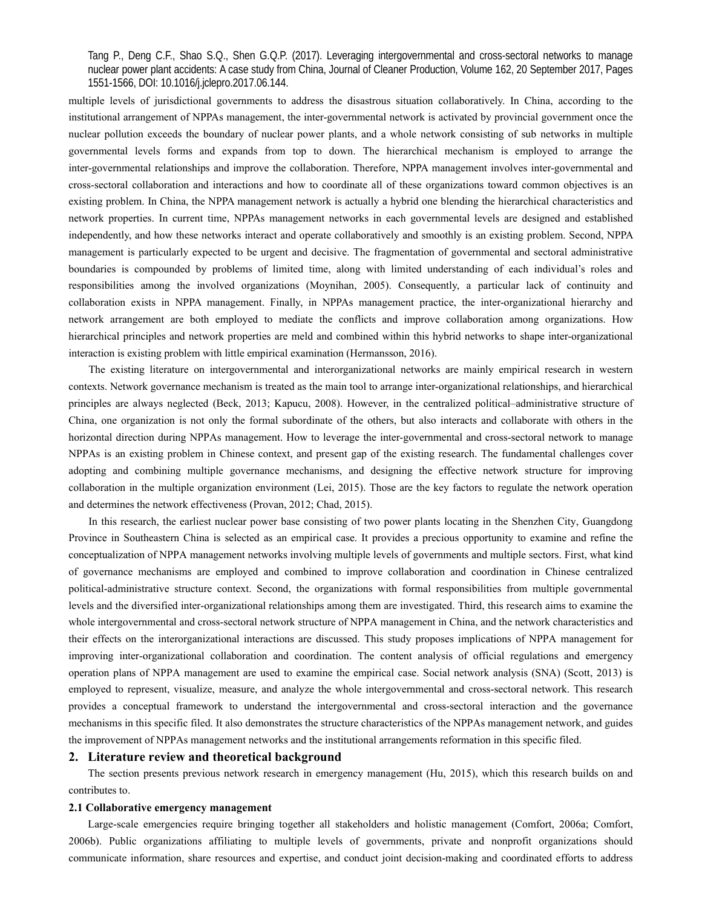multiple levels of jurisdictional governments to address the disastrous situation collaboratively. In China, according to the institutional arrangement of NPPAs management, the inter-governmental network is activated by provincial government once the nuclear pollution exceeds the boundary of nuclear power plants, and a whole network consisting of sub networks in multiple governmental levels forms and expands from top to down. The hierarchical mechanism is employed to arrange the inter-governmental relationships and improve the collaboration. Therefore, NPPA management involves inter-governmental and cross-sectoral collaboration and interactions and how to coordinate all of these organizations toward common objectives is an existing problem. In China, the NPPA management network is actually a hybrid one blending the hierarchical characteristics and network properties. In current time, NPPAs management networks in each governmental levels are designed and established independently, and how these networks interact and operate collaboratively and smoothly is an existing problem. Second, NPPA management is particularly expected to be urgent and decisive. The fragmentation of governmental and sectoral administrative boundaries is compounded by problems of limited time, along with limited understanding of each individual's roles and responsibilities among the involved organizations (Moynihan, 2005). Consequently, a particular lack of continuity and collaboration exists in NPPA management. Finally, in NPPAs management practice, the inter-organizational hierarchy and network arrangement are both employed to mediate the conflicts and improve collaboration among organizations. How hierarchical principles and network properties are meld and combined within this hybrid networks to shape inter-organizational interaction is existing problem with little empirical examination (Hermansson, 2016).

The existing literature on intergovernmental and interorganizational networks are mainly empirical research in western contexts. Network governance mechanism is treated as the main tool to arrange inter-organizational relationships, and hierarchical principles are always neglected (Beck, 2013; Kapucu, 2008). However, in the centralized political–administrative structure of China, one organization is not only the formal subordinate of the others, but also interacts and collaborate with others in the horizontal direction during NPPAs management. How to leverage the inter-governmental and cross-sectoral network to manage NPPAs is an existing problem in Chinese context, and present gap of the existing research. The fundamental challenges cover adopting and combining multiple governance mechanisms, and designing the effective network structure for improving collaboration in the multiple organization environment (Lei, 2015). Those are the key factors to regulate the network operation and determines the network effectiveness (Provan, 2012; Chad, 2015).

In this research, the earliest nuclear power base consisting of two power plants locating in the Shenzhen City, Guangdong Province in Southeastern China is selected as an empirical case. It provides a precious opportunity to examine and refine the conceptualization of NPPA management networks involving multiple levels of governments and multiple sectors. First, what kind of governance mechanisms are employed and combined to improve collaboration and coordination in Chinese centralized political-administrative structure context. Second, the organizations with formal responsibilities from multiple governmental levels and the diversified inter-organizational relationships among them are investigated. Third, this research aims to examine the whole intergovernmental and cross-sectoral network structure of NPPA management in China, and the network characteristics and their effects on the interorganizational interactions are discussed. This study proposes implications of NPPA management for improving inter-organizational collaboration and coordination. The content analysis of official regulations and emergency operation plans of NPPA management are used to examine the empirical case. Social network analysis (SNA) (Scott, 2013) is employed to represent, visualize, measure, and analyze the whole intergovernmental and cross-sectoral network. This research provides a conceptual framework to understand the intergovernmental and cross-sectoral interaction and the governance mechanisms in this specific filed. It also demonstrates the structure characteristics of the NPPAs management network, and guides the improvement of NPPAs management networks and the institutional arrangements reformation in this specific filed.

## **2. Literature review and theoretical background**

The section presents previous network research in emergency management (Hu, 2015), which this research builds on and contributes to.

#### **2.1 Collaborative emergency management**

Large-scale emergencies require bringing together all stakeholders and holistic management (Comfort, 2006a; Comfort, 2006b). Public organizations affiliating to multiple levels of governments, private and nonprofit organizations should communicate information, share resources and expertise, and conduct joint decision-making and coordinated efforts to address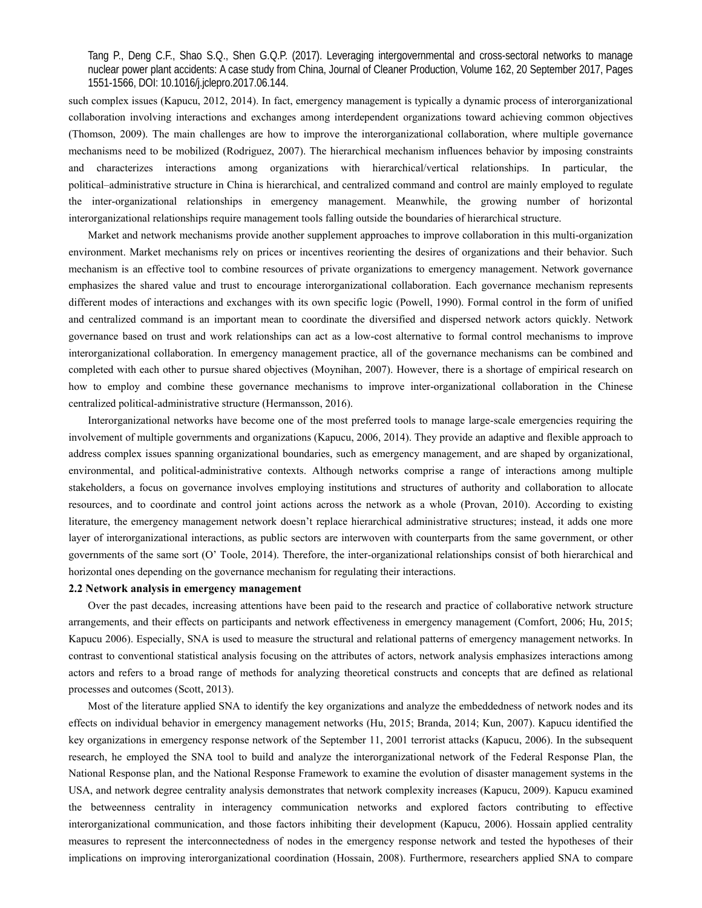such complex issues (Kapucu, 2012, 2014). In fact, emergency management is typically a dynamic process of interorganizational collaboration involving interactions and exchanges among interdependent organizations toward achieving common objectives (Thomson, 2009). The main challenges are how to improve the interorganizational collaboration, where multiple governance mechanisms need to be mobilized (Rodriguez, 2007). The hierarchical mechanism influences behavior by imposing constraints and characterizes interactions among organizations with hierarchical/vertical relationships. In particular, the political–administrative structure in China is hierarchical, and centralized command and control are mainly employed to regulate the inter-organizational relationships in emergency management. Meanwhile, the growing number of horizontal interorganizational relationships require management tools falling outside the boundaries of hierarchical structure.

Market and network mechanisms provide another supplement approaches to improve collaboration in this multi-organization environment. Market mechanisms rely on prices or incentives reorienting the desires of organizations and their behavior. Such mechanism is an effective tool to combine resources of private organizations to emergency management. Network governance emphasizes the shared value and trust to encourage interorganizational collaboration. Each governance mechanism represents different modes of interactions and exchanges with its own specific logic (Powell, 1990). Formal control in the form of unified and centralized command is an important mean to coordinate the diversified and dispersed network actors quickly. Network governance based on trust and work relationships can act as a low-cost alternative to formal control mechanisms to improve interorganizational collaboration. In emergency management practice, all of the governance mechanisms can be combined and completed with each other to pursue shared objectives (Moynihan, 2007). However, there is a shortage of empirical research on how to employ and combine these governance mechanisms to improve inter-organizational collaboration in the Chinese centralized political-administrative structure (Hermansson, 2016).

Interorganizational networks have become one of the most preferred tools to manage large-scale emergencies requiring the involvement of multiple governments and organizations (Kapucu, 2006, 2014). They provide an adaptive and flexible approach to address complex issues spanning organizational boundaries, such as emergency management, and are shaped by organizational, environmental, and political-administrative contexts. Although networks comprise a range of interactions among multiple stakeholders, a focus on governance involves employing institutions and structures of authority and collaboration to allocate resources, and to coordinate and control joint actions across the network as a whole (Provan, 2010). According to existing literature, the emergency management network doesn't replace hierarchical administrative structures; instead, it adds one more layer of interorganizational interactions, as public sectors are interwoven with counterparts from the same government, or other governments of the same sort (O' Toole, 2014). Therefore, the inter-organizational relationships consist of both hierarchical and horizontal ones depending on the governance mechanism for regulating their interactions.

#### **2.2 Network analysis in emergency management**

Over the past decades, increasing attentions have been paid to the research and practice of collaborative network structure arrangements, and their effects on participants and network effectiveness in emergency management (Comfort, 2006; Hu, 2015; Kapucu 2006). Especially, SNA is used to measure the structural and relational patterns of emergency management networks. In contrast to conventional statistical analysis focusing on the attributes of actors, network analysis emphasizes interactions among actors and refers to a broad range of methods for analyzing theoretical constructs and concepts that are defined as relational processes and outcomes (Scott, 2013).

Most of the literature applied SNA to identify the key organizations and analyze the embeddedness of network nodes and its effects on individual behavior in emergency management networks (Hu, 2015; Branda, 2014; Kun, 2007). Kapucu identified the key organizations in emergency response network of the September 11, 2001 terrorist attacks (Kapucu, 2006). In the subsequent research, he employed the SNA tool to build and analyze the interorganizational network of the Federal Response Plan, the National Response plan, and the National Response Framework to examine the evolution of disaster management systems in the USA, and network degree centrality analysis demonstrates that network complexity increases (Kapucu, 2009). Kapucu examined the betweenness centrality in interagency communication networks and explored factors contributing to effective interorganizational communication, and those factors inhibiting their development (Kapucu, 2006). Hossain applied centrality measures to represent the interconnectedness of nodes in the emergency response network and tested the hypotheses of their implications on improving interorganizational coordination (Hossain, 2008). Furthermore, researchers applied SNA to compare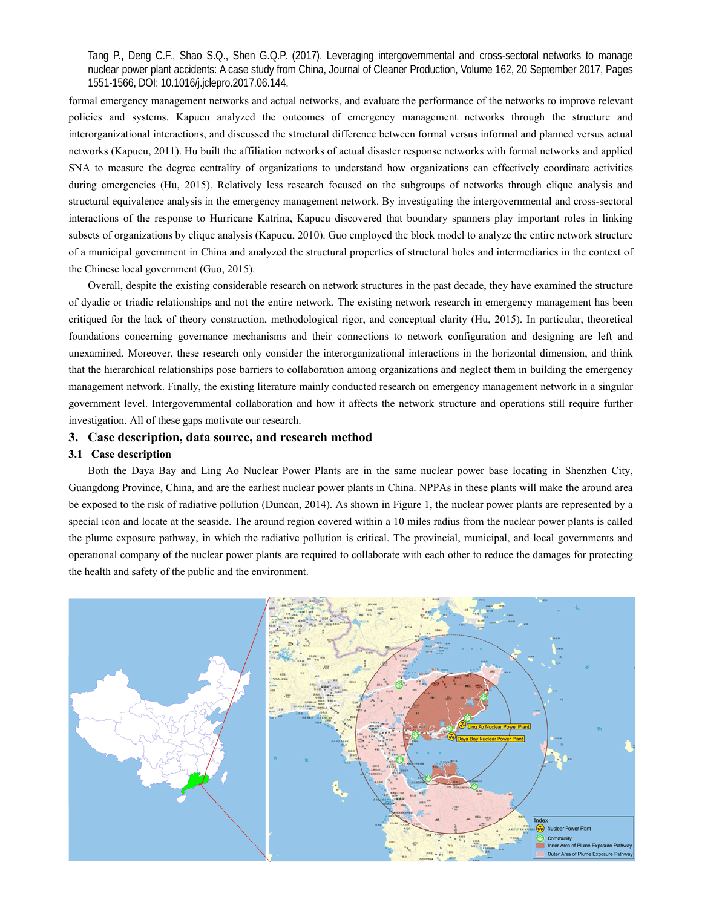formal emergency management networks and actual networks, and evaluate the performance of the networks to improve relevant policies and systems. Kapucu analyzed the outcomes of emergency management networks through the structure and interorganizational interactions, and discussed the structural difference between formal versus informal and planned versus actual networks (Kapucu, 2011). Hu built the affiliation networks of actual disaster response networks with formal networks and applied SNA to measure the degree centrality of organizations to understand how organizations can effectively coordinate activities during emergencies (Hu, 2015). Relatively less research focused on the subgroups of networks through clique analysis and structural equivalence analysis in the emergency management network. By investigating the intergovernmental and cross-sectoral interactions of the response to Hurricane Katrina, Kapucu discovered that boundary spanners play important roles in linking subsets of organizations by clique analysis (Kapucu, 2010). Guo employed the block model to analyze the entire network structure of a municipal government in China and analyzed the structural properties of structural holes and intermediaries in the context of the Chinese local government (Guo, 2015).

Overall, despite the existing considerable research on network structures in the past decade, they have examined the structure of dyadic or triadic relationships and not the entire network. The existing network research in emergency management has been critiqued for the lack of theory construction, methodological rigor, and conceptual clarity (Hu, 2015). In particular, theoretical foundations concerning governance mechanisms and their connections to network configuration and designing are left and unexamined. Moreover, these research only consider the interorganizational interactions in the horizontal dimension, and think that the hierarchical relationships pose barriers to collaboration among organizations and neglect them in building the emergency management network. Finally, the existing literature mainly conducted research on emergency management network in a singular government level. Intergovernmental collaboration and how it affects the network structure and operations still require further investigation. All of these gaps motivate our research.

### **3. Case description, data source, and research method**

## **3.1 Case description**

Both the Daya Bay and Ling Ao Nuclear Power Plants are in the same nuclear power base locating in Shenzhen City, Guangdong Province, China, and are the earliest nuclear power plants in China. NPPAs in these plants will make the around area be exposed to the risk of radiative pollution (Duncan, 2014). As shown in Figure 1, the nuclear power plants are represented by a special icon and locate at the seaside. The around region covered within a 10 miles radius from the nuclear power plants is called the plume exposure pathway, in which the radiative pollution is critical. The provincial, municipal, and local governments and operational company of the nuclear power plants are required to collaborate with each other to reduce the damages for protecting the health and safety of the public and the environment.

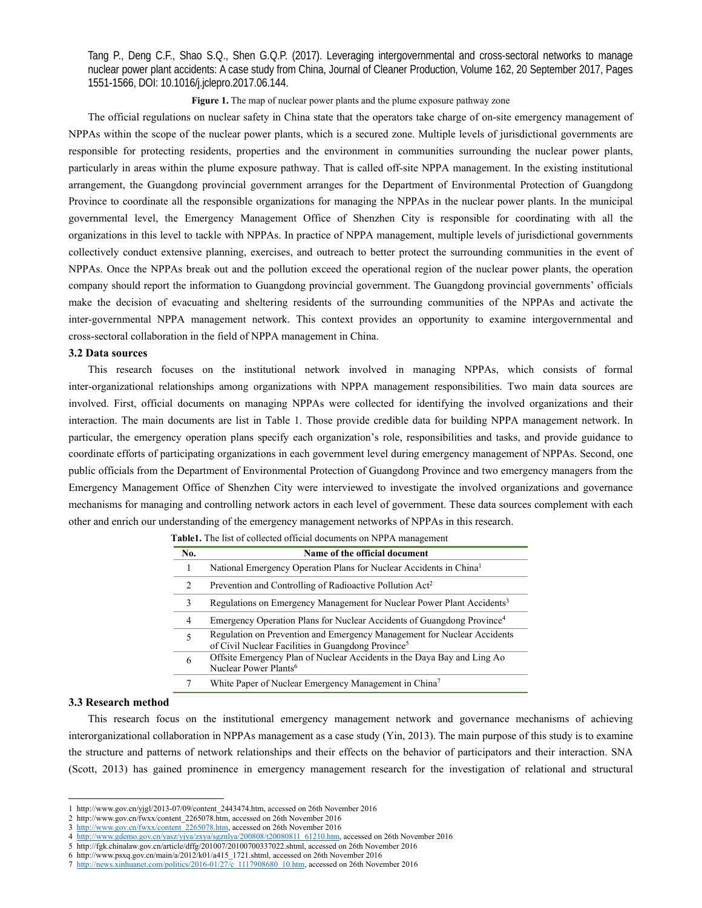## **Figure 1.** The map of nuclear power plants and the plume exposure pathway zone

The official regulations on nuclear safety in China state that the operators take charge of on-site emergency management of NPPAs within the scope of the nuclear power plants, which is a secured zone. Multiple levels of jurisdictional governments are responsible for protecting residents, properties and the environment in communities surrounding the nuclear power plants, particularly in areas within the plume exposure pathway. That is called off-site NPPA management. In the existing institutional arrangement, the Guangdong provincial government arranges for the Department of Environmental Protection of Guangdong Province to coordinate all the responsible organizations for managing the NPPAs in the nuclear power plants. In the municipal governmental level, the Emergency Management Office of Shenzhen City is responsible for coordinating with all the organizations in this level to tackle with NPPAs. In practice of NPPA management, multiple levels of jurisdictional governments collectively conduct extensive planning, exercises, and outreach to better protect the surrounding communities in the event of NPPAs. Once the NPPAs break out and the pollution exceed the operational region of the nuclear power plants, the operation company should report the information to Guangdong provincial government. The Guangdong provincial governments' officials make the decision of evacuating and sheltering residents of the surrounding communities of the NPPAs and activate the inter-governmental NPPA management network. This context provides an opportunity to examine intergovernmental and cross-sectoral collaboration in the field of NPPA management in China.

#### **3.2 Data sources**

This research focuses on the institutional network involved in managing NPPAs, which consists of formal inter-organizational relationships among organizations with NPPA management responsibilities. Two main data sources are involved. First, official documents on managing NPPAs were collected for identifying the involved organizations and their interaction. The main documents are list in Table 1. Those provide credible data for building NPPA management network. In particular, the emergency operation plans specify each organization's role, responsibilities and tasks, and provide guidance to coordinate efforts of participating organizations in each government level during emergency management of NPPAs. Second, one public officials from the Department of Environmental Protection of Guangdong Province and two emergency managers from the Emergency Management Office of Shenzhen City were interviewed to investigate the involved organizations and governance mechanisms for managing and controlling network actors in each level of government. These data sources complement with each other and enrich our understanding of the emergency management networks of NPPAs in this research.

| No.            | Name of the official document                                                                                                             |
|----------------|-------------------------------------------------------------------------------------------------------------------------------------------|
|                | National Emergency Operation Plans for Nuclear Accidents in China <sup>1</sup>                                                            |
| 2              | Prevention and Controlling of Radioactive Pollution Act <sup>2</sup>                                                                      |
| 3              | Regulations on Emergency Management for Nuclear Power Plant Accidents <sup>3</sup>                                                        |
| 4              | Emergency Operation Plans for Nuclear Accidents of Guangdong Province <sup>4</sup>                                                        |
| $\overline{5}$ | Regulation on Prevention and Emergency Management for Nuclear Accidents<br>of Civil Nuclear Facilities in Guangdong Province <sup>5</sup> |
| 6              | Offsite Emergency Plan of Nuclear Accidents in the Daya Bay and Ling Ao<br>Nuclear Power Plants <sup>6</sup>                              |
|                | White Paper of Nuclear Emergency Management in China <sup>7</sup>                                                                         |

| <b>Table1.</b> The list of collected official documents on NPPA management |  |  |
|----------------------------------------------------------------------------|--|--|
|----------------------------------------------------------------------------|--|--|

#### **3.3 Research method**

This research focus on the institutional emergency management network and governance mechanisms of achieving interorganizational collaboration in NPPAs management as a case study (Yin, 2013). The main purpose of this study is to examine the structure and patterns of network relationships and their effects on the behavior of participators and their interaction. SNA (Scott, 2013) has gained prominence in emergency management research for the investigation of relational and structural

 1 http://www.gov.cn/yjgl/2013-07/09/content\_2443474.htm, accessed on 26th November 2016

<sup>2</sup> http://www.gov.cn/fwxx/content\_2265078.htm, accessed on 26th November 2016

<sup>3</sup> http://www.gov.cn/fwxx/content\_2265078.htm, accessed on 26th November 2016

<sup>4</sup> http://www.gdemo.gov.cn/yasz/yjya/zxya/sgznlya/200808/t20080811\_61210.htm, accessed on 26th November 2016

<sup>5</sup> http://fgk.chinalaw.gov.cn/article/dffg/201007/20100700337022.shtml, accessed on 26th November 2016

<sup>6</sup> http://www.psxq.gov.cn/main/a/2012/k01/a415\_1721.shtml, accessed on 26th November 2016

<sup>7</sup> http://news.xinhuanet.com/politics/2016-01/27/c\_1117908680\_10.htm, accessed on 26th November 2016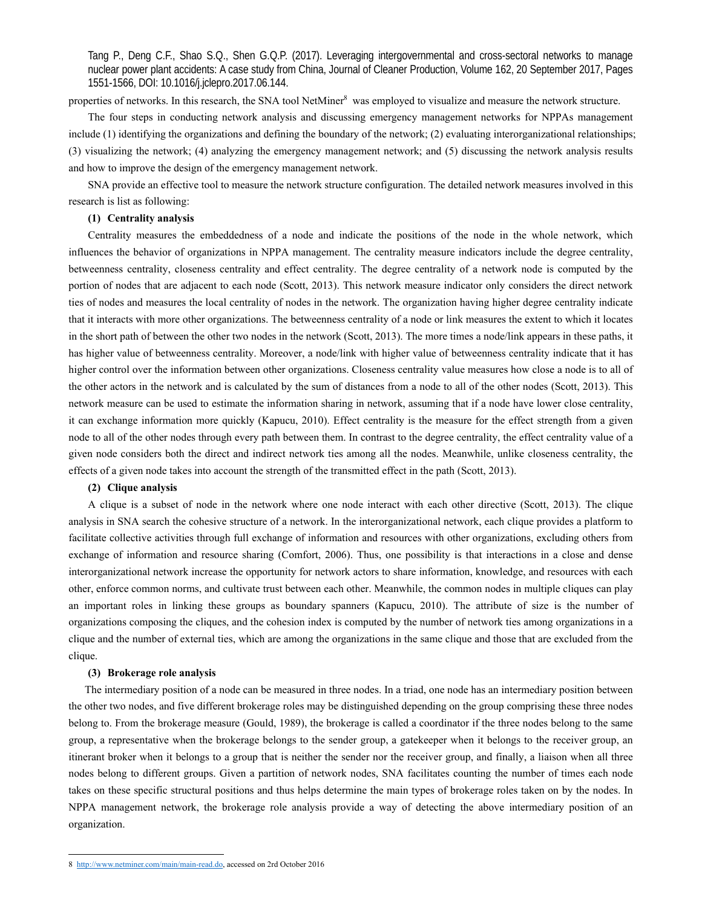properties of networks. In this research, the SNA tool NetMiner<sup>8</sup> was employed to visualize and measure the network structure.

The four steps in conducting network analysis and discussing emergency management networks for NPPAs management include (1) identifying the organizations and defining the boundary of the network; (2) evaluating interorganizational relationships; (3) visualizing the network; (4) analyzing the emergency management network; and (5) discussing the network analysis results and how to improve the design of the emergency management network.

SNA provide an effective tool to measure the network structure configuration. The detailed network measures involved in this research is list as following:

#### **(1) Centrality analysis**

Centrality measures the embeddedness of a node and indicate the positions of the node in the whole network, which influences the behavior of organizations in NPPA management. The centrality measure indicators include the degree centrality, betweenness centrality, closeness centrality and effect centrality. The degree centrality of a network node is computed by the portion of nodes that are adjacent to each node (Scott, 2013). This network measure indicator only considers the direct network ties of nodes and measures the local centrality of nodes in the network. The organization having higher degree centrality indicate that it interacts with more other organizations. The betweenness centrality of a node or link measures the extent to which it locates in the short path of between the other two nodes in the network (Scott, 2013). The more times a node/link appears in these paths, it has higher value of betweenness centrality. Moreover, a node/link with higher value of betweenness centrality indicate that it has higher control over the information between other organizations. Closeness centrality value measures how close a node is to all of the other actors in the network and is calculated by the sum of distances from a node to all of the other nodes (Scott, 2013). This network measure can be used to estimate the information sharing in network, assuming that if a node have lower close centrality, it can exchange information more quickly (Kapucu, 2010). Effect centrality is the measure for the effect strength from a given node to all of the other nodes through every path between them. In contrast to the degree centrality, the effect centrality value of a given node considers both the direct and indirect network ties among all the nodes. Meanwhile, unlike closeness centrality, the effects of a given node takes into account the strength of the transmitted effect in the path (Scott, 2013).

#### **(2) Clique analysis**

A clique is a subset of node in the network where one node interact with each other directive (Scott, 2013). The clique analysis in SNA search the cohesive structure of a network. In the interorganizational network, each clique provides a platform to facilitate collective activities through full exchange of information and resources with other organizations, excluding others from exchange of information and resource sharing (Comfort, 2006). Thus, one possibility is that interactions in a close and dense interorganizational network increase the opportunity for network actors to share information, knowledge, and resources with each other, enforce common norms, and cultivate trust between each other. Meanwhile, the common nodes in multiple cliques can play an important roles in linking these groups as boundary spanners (Kapucu, 2010). The attribute of size is the number of organizations composing the cliques, and the cohesion index is computed by the number of network ties among organizations in a clique and the number of external ties, which are among the organizations in the same clique and those that are excluded from the clique.

#### **(3) Brokerage role analysis**

The intermediary position of a node can be measured in three nodes. In a triad, one node has an intermediary position between the other two nodes, and five different brokerage roles may be distinguished depending on the group comprising these three nodes belong to. From the brokerage measure (Gould, 1989), the brokerage is called a coordinator if the three nodes belong to the same group, a representative when the brokerage belongs to the sender group, a gatekeeper when it belongs to the receiver group, an itinerant broker when it belongs to a group that is neither the sender nor the receiver group, and finally, a liaison when all three nodes belong to different groups. Given a partition of network nodes, SNA facilitates counting the number of times each node takes on these specific structural positions and thus helps determine the main types of brokerage roles taken on by the nodes. In NPPA management network, the brokerage role analysis provide a way of detecting the above intermediary position of an organization.

<sup>8</sup> http://www.netminer.com/main/main-read.do, accessed on 2rd October 2016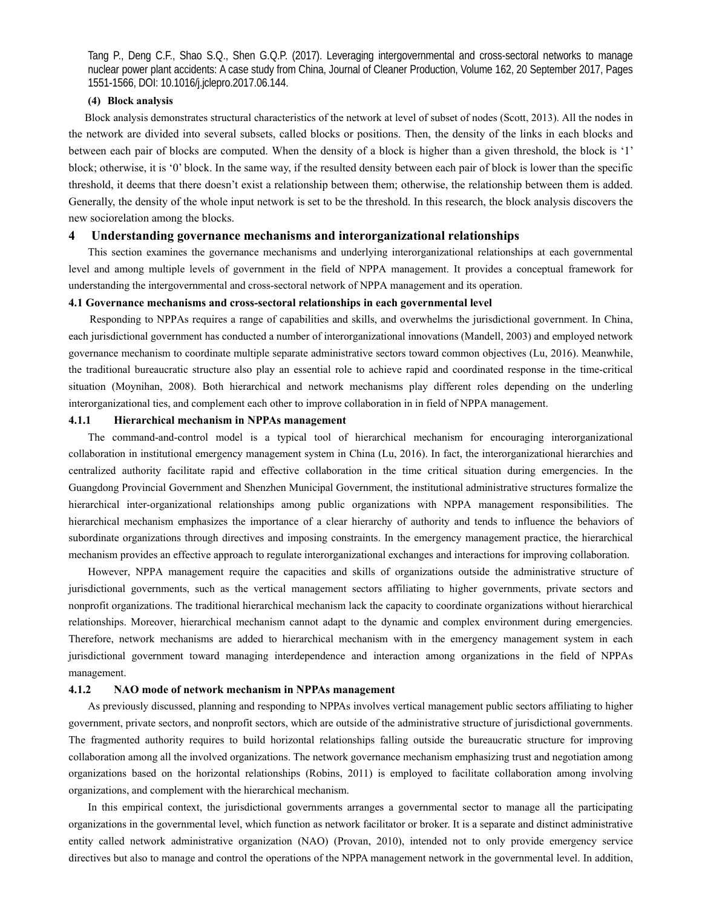## **(4) Block analysis**

Block analysis demonstrates structural characteristics of the network at level of subset of nodes (Scott, 2013). All the nodes in the network are divided into several subsets, called blocks or positions. Then, the density of the links in each blocks and between each pair of blocks are computed. When the density of a block is higher than a given threshold, the block is '1' block; otherwise, it is '0' block. In the same way, if the resulted density between each pair of block is lower than the specific threshold, it deems that there doesn't exist a relationship between them; otherwise, the relationship between them is added. Generally, the density of the whole input network is set to be the threshold. In this research, the block analysis discovers the new sociorelation among the blocks.

## **4 Understanding governance mechanisms and interorganizational relationships**

This section examines the governance mechanisms and underlying interorganizational relationships at each governmental level and among multiple levels of government in the field of NPPA management. It provides a conceptual framework for understanding the intergovernmental and cross-sectoral network of NPPA management and its operation.

## **4.1 Governance mechanisms and cross-sectoral relationships in each governmental level**

Responding to NPPAs requires a range of capabilities and skills, and overwhelms the jurisdictional government. In China, each jurisdictional government has conducted a number of interorganizational innovations (Mandell, 2003) and employed network governance mechanism to coordinate multiple separate administrative sectors toward common objectives (Lu, 2016). Meanwhile, the traditional bureaucratic structure also play an essential role to achieve rapid and coordinated response in the time-critical situation (Moynihan, 2008). Both hierarchical and network mechanisms play different roles depending on the underling interorganizational ties, and complement each other to improve collaboration in in field of NPPA management.

#### **4.1.1 Hierarchical mechanism in NPPAs management**

The command-and-control model is a typical tool of hierarchical mechanism for encouraging interorganizational collaboration in institutional emergency management system in China (Lu, 2016). In fact, the interorganizational hierarchies and centralized authority facilitate rapid and effective collaboration in the time critical situation during emergencies. In the Guangdong Provincial Government and Shenzhen Municipal Government, the institutional administrative structures formalize the hierarchical inter-organizational relationships among public organizations with NPPA management responsibilities. The hierarchical mechanism emphasizes the importance of a clear hierarchy of authority and tends to influence the behaviors of subordinate organizations through directives and imposing constraints. In the emergency management practice, the hierarchical mechanism provides an effective approach to regulate interorganizational exchanges and interactions for improving collaboration.

However, NPPA management require the capacities and skills of organizations outside the administrative structure of jurisdictional governments, such as the vertical management sectors affiliating to higher governments, private sectors and nonprofit organizations. The traditional hierarchical mechanism lack the capacity to coordinate organizations without hierarchical relationships. Moreover, hierarchical mechanism cannot adapt to the dynamic and complex environment during emergencies. Therefore, network mechanisms are added to hierarchical mechanism with in the emergency management system in each jurisdictional government toward managing interdependence and interaction among organizations in the field of NPPAs management.

#### **4.1.2 NAO mode of network mechanism in NPPAs management**

As previously discussed, planning and responding to NPPAs involves vertical management public sectors affiliating to higher government, private sectors, and nonprofit sectors, which are outside of the administrative structure of jurisdictional governments. The fragmented authority requires to build horizontal relationships falling outside the bureaucratic structure for improving collaboration among all the involved organizations. The network governance mechanism emphasizing trust and negotiation among organizations based on the horizontal relationships (Robins, 2011) is employed to facilitate collaboration among involving organizations, and complement with the hierarchical mechanism.

In this empirical context, the jurisdictional governments arranges a governmental sector to manage all the participating organizations in the governmental level, which function as network facilitator or broker. It is a separate and distinct administrative entity called network administrative organization (NAO) (Provan, 2010), intended not to only provide emergency service directives but also to manage and control the operations of the NPPA management network in the governmental level. In addition,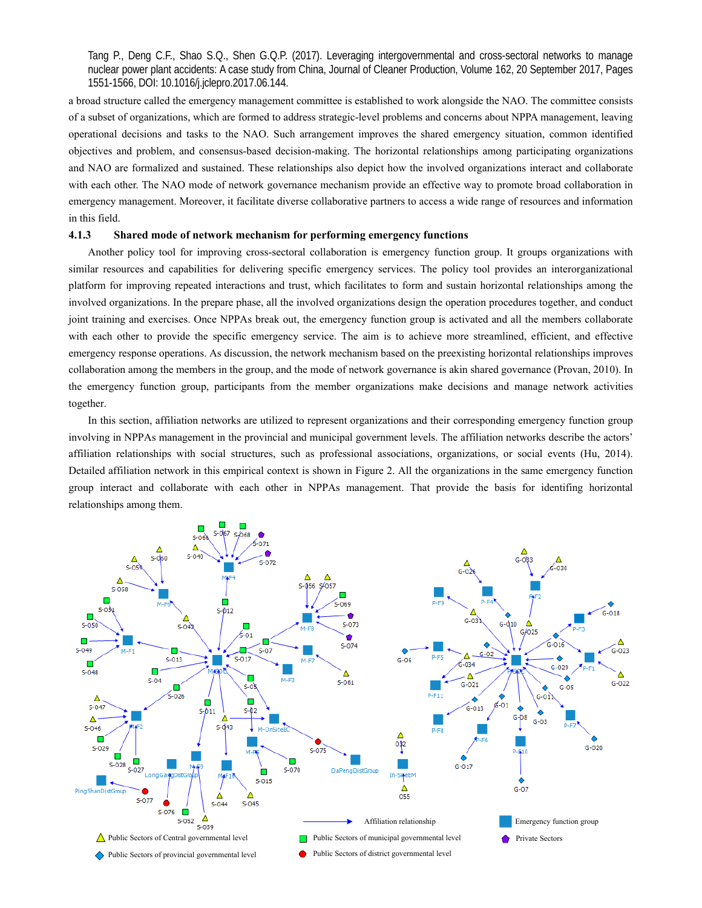a broad structure called the emergency management committee is established to work alongside the NAO. The committee consists of a subset of organizations, which are formed to address strategic-level problems and concerns about NPPA management, leaving operational decisions and tasks to the NAO. Such arrangement improves the shared emergency situation, common identified objectives and problem, and consensus-based decision-making. The horizontal relationships among participating organizations and NAO are formalized and sustained. These relationships also depict how the involved organizations interact and collaborate with each other. The NAO mode of network governance mechanism provide an effective way to promote broad collaboration in emergency management. Moreover, it facilitate diverse collaborative partners to access a wide range of resources and information in this field.

## **4.1.3 Shared mode of network mechanism for performing emergency functions**

Another policy tool for improving cross-sectoral collaboration is emergency function group. It groups organizations with similar resources and capabilities for delivering specific emergency services. The policy tool provides an interorganizational platform for improving repeated interactions and trust, which facilitates to form and sustain horizontal relationships among the involved organizations. In the prepare phase, all the involved organizations design the operation procedures together, and conduct joint training and exercises. Once NPPAs break out, the emergency function group is activated and all the members collaborate with each other to provide the specific emergency service. The aim is to achieve more streamlined, efficient, and effective emergency response operations. As discussion, the network mechanism based on the preexisting horizontal relationships improves collaboration among the members in the group, and the mode of network governance is akin shared governance (Provan, 2010). In the emergency function group, participants from the member organizations make decisions and manage network activities together.

In this section, affiliation networks are utilized to represent organizations and their corresponding emergency function group involving in NPPAs management in the provincial and municipal government levels. The affiliation networks describe the actors' affiliation relationships with social structures, such as professional associations, organizations, or social events (Hu, 2014). Detailed affiliation network in this empirical context is shown in Figure 2. All the organizations in the same emergency function group interact and collaborate with each other in NPPAs management. That provide the basis for identifing horizontal relationships among them.

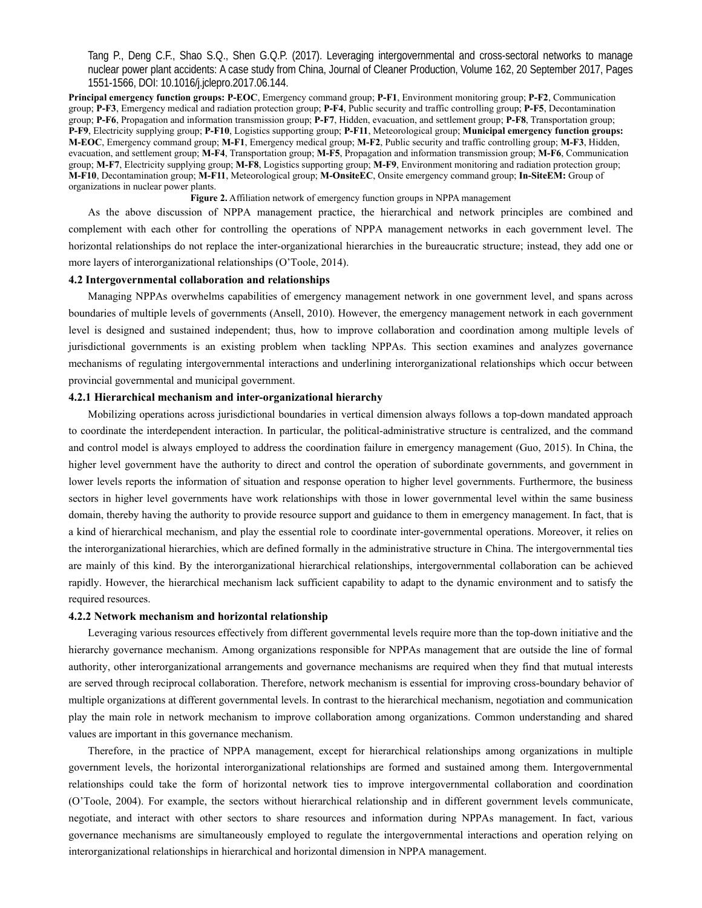**Principal emergency function groups: P-EOC**, Emergency command group; **P-F1**, Environment monitoring group; **P-F2**, Communication group; **P-F3**, Emergency medical and radiation protection group; **P-F4**, Public security and traffic controlling group; **P-F5**, Decontamination group; **P-F6**, Propagation and information transmission group; **P-F7**, Hidden, evacuation, and settlement group; **P-F8**, Transportation group; **P-F9**, Electricity supplying group; **P-F10**, Logistics supporting group; **P-F11**, Meteorological group; **Municipal emergency function groups: M-EOC**, Emergency command group; **M-F1**, Emergency medical group; **M-F2**, Public security and traffic controlling group; **M-F3**, Hidden, evacuation, and settlement group; **M-F4**, Transportation group; **M-F5**, Propagation and information transmission group; **M-F6**, Communication group; **M-F7**, Electricity supplying group; **M-F8**, Logistics supporting group; **M-F9**, Environment monitoring and radiation protection group; **M-F10**, Decontamination group; **M-F11**, Meteorological group; **M-OnsiteEC**, Onsite emergency command group; **In-SiteEM:** Group of organizations in nuclear power plants.

## **Figure 2.** Affiliation network of emergency function groups in NPPA management

As the above discussion of NPPA management practice, the hierarchical and network principles are combined and complement with each other for controlling the operations of NPPA management networks in each government level. The horizontal relationships do not replace the inter-organizational hierarchies in the bureaucratic structure; instead, they add one or more layers of interorganizational relationships (O'Toole, 2014).

#### **4.2 Intergovernmental collaboration and relationships**

Managing NPPAs overwhelms capabilities of emergency management network in one government level, and spans across boundaries of multiple levels of governments (Ansell, 2010). However, the emergency management network in each government level is designed and sustained independent; thus, how to improve collaboration and coordination among multiple levels of jurisdictional governments is an existing problem when tackling NPPAs. This section examines and analyzes governance mechanisms of regulating intergovernmental interactions and underlining interorganizational relationships which occur between provincial governmental and municipal government.

### **4.2.1 Hierarchical mechanism and inter-organizational hierarchy**

Mobilizing operations across jurisdictional boundaries in vertical dimension always follows a top-down mandated approach to coordinate the interdependent interaction. In particular, the political-administrative structure is centralized, and the command and control model is always employed to address the coordination failure in emergency management (Guo, 2015). In China, the higher level government have the authority to direct and control the operation of subordinate governments, and government in lower levels reports the information of situation and response operation to higher level governments. Furthermore, the business sectors in higher level governments have work relationships with those in lower governmental level within the same business domain, thereby having the authority to provide resource support and guidance to them in emergency management. In fact, that is a kind of hierarchical mechanism, and play the essential role to coordinate inter-governmental operations. Moreover, it relies on the interorganizational hierarchies, which are defined formally in the administrative structure in China. The intergovernmental ties are mainly of this kind. By the interorganizational hierarchical relationships, intergovernmental collaboration can be achieved rapidly. However, the hierarchical mechanism lack sufficient capability to adapt to the dynamic environment and to satisfy the required resources.

#### **4.2.2 Network mechanism and horizontal relationship**

Leveraging various resources effectively from different governmental levels require more than the top-down initiative and the hierarchy governance mechanism. Among organizations responsible for NPPAs management that are outside the line of formal authority, other interorganizational arrangements and governance mechanisms are required when they find that mutual interests are served through reciprocal collaboration. Therefore, network mechanism is essential for improving cross-boundary behavior of multiple organizations at different governmental levels. In contrast to the hierarchical mechanism, negotiation and communication play the main role in network mechanism to improve collaboration among organizations. Common understanding and shared values are important in this governance mechanism.

Therefore, in the practice of NPPA management, except for hierarchical relationships among organizations in multiple government levels, the horizontal interorganizational relationships are formed and sustained among them. Intergovernmental relationships could take the form of horizontal network ties to improve intergovernmental collaboration and coordination (O'Toole, 2004). For example, the sectors without hierarchical relationship and in different government levels communicate, negotiate, and interact with other sectors to share resources and information during NPPAs management. In fact, various governance mechanisms are simultaneously employed to regulate the intergovernmental interactions and operation relying on interorganizational relationships in hierarchical and horizontal dimension in NPPA management.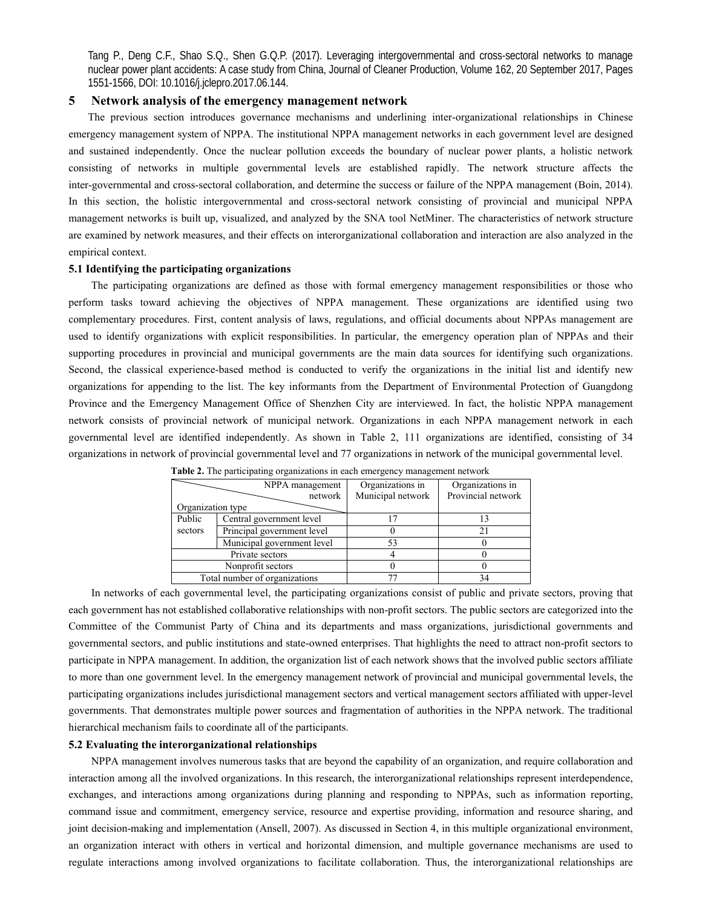## **5 Network analysis of the emergency management network**

The previous section introduces governance mechanisms and underlining inter-organizational relationships in Chinese emergency management system of NPPA. The institutional NPPA management networks in each government level are designed and sustained independently. Once the nuclear pollution exceeds the boundary of nuclear power plants, a holistic network consisting of networks in multiple governmental levels are established rapidly. The network structure affects the inter-governmental and cross-sectoral collaboration, and determine the success or failure of the NPPA management (Boin, 2014). In this section, the holistic intergovernmental and cross-sectoral network consisting of provincial and municipal NPPA management networks is built up, visualized, and analyzed by the SNA tool NetMiner. The characteristics of network structure are examined by network measures, and their effects on interorganizational collaboration and interaction are also analyzed in the empirical context.

#### **5.1 Identifying the participating organizations**

The participating organizations are defined as those with formal emergency management responsibilities or those who perform tasks toward achieving the objectives of NPPA management. These organizations are identified using two complementary procedures. First, content analysis of laws, regulations, and official documents about NPPAs management are used to identify organizations with explicit responsibilities. In particular, the emergency operation plan of NPPAs and their supporting procedures in provincial and municipal governments are the main data sources for identifying such organizations. Second, the classical experience-based method is conducted to verify the organizations in the initial list and identify new organizations for appending to the list. The key informants from the Department of Environmental Protection of Guangdong Province and the Emergency Management Office of Shenzhen City are interviewed. In fact, the holistic NPPA management network consists of provincial network of municipal network. Organizations in each NPPA management network in each governmental level are identified independently. As shown in Table 2, 111 organizations are identified, consisting of 34 organizations in network of provincial governmental level and 77 organizations in network of the municipal governmental level.

|                   | NPPA management               | Organizations in  | Organizations in   |
|-------------------|-------------------------------|-------------------|--------------------|
|                   | network                       | Municipal network | Provincial network |
| Organization type |                               |                   |                    |
| Public            | Central government level      |                   |                    |
| sectors           | Principal government level    |                   |                    |
|                   | Municipal government level    | 53                |                    |
|                   | Private sectors               |                   |                    |
|                   | Nonprofit sectors             |                   |                    |
|                   | Total number of organizations |                   |                    |

**Table 2.** The participating organizations in each emergency management network

In networks of each governmental level, the participating organizations consist of public and private sectors, proving that each government has not established collaborative relationships with non-profit sectors. The public sectors are categorized into the Committee of the Communist Party of China and its departments and mass organizations, jurisdictional governments and governmental sectors, and public institutions and state-owned enterprises. That highlights the need to attract non-profit sectors to participate in NPPA management. In addition, the organization list of each network shows that the involved public sectors affiliate to more than one government level. In the emergency management network of provincial and municipal governmental levels, the participating organizations includes jurisdictional management sectors and vertical management sectors affiliated with upper-level governments. That demonstrates multiple power sources and fragmentation of authorities in the NPPA network. The traditional hierarchical mechanism fails to coordinate all of the participants.

## **5.2 Evaluating the interorganizational relationships**

 NPPA management involves numerous tasks that are beyond the capability of an organization, and require collaboration and interaction among all the involved organizations. In this research, the interorganizational relationships represent interdependence, exchanges, and interactions among organizations during planning and responding to NPPAs, such as information reporting, command issue and commitment, emergency service, resource and expertise providing, information and resource sharing, and joint decision-making and implementation (Ansell, 2007). As discussed in Section 4, in this multiple organizational environment, an organization interact with others in vertical and horizontal dimension, and multiple governance mechanisms are used to regulate interactions among involved organizations to facilitate collaboration. Thus, the interorganizational relationships are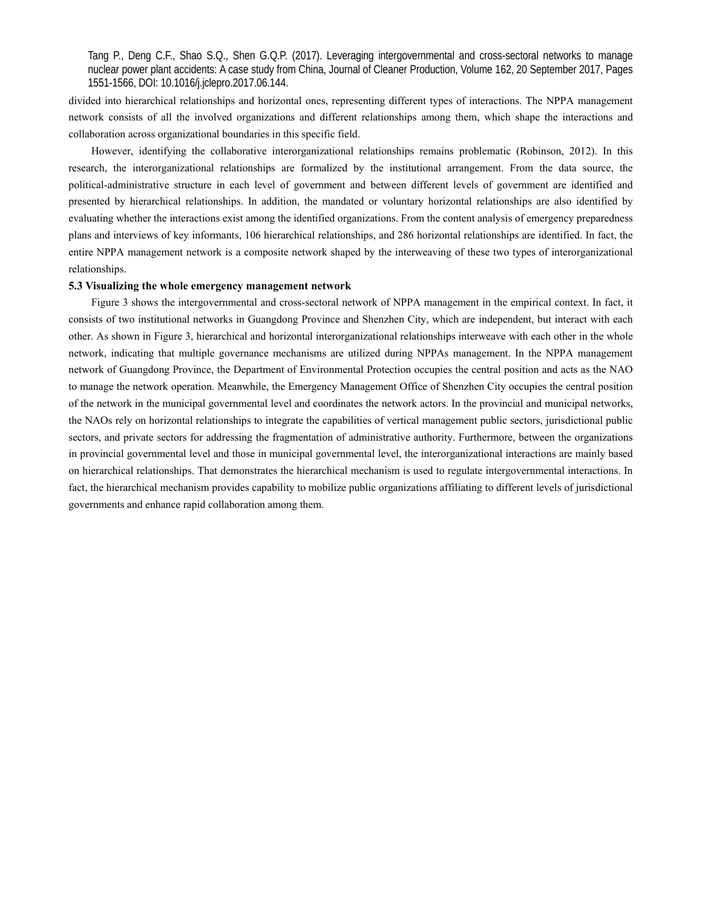divided into hierarchical relationships and horizontal ones, representing different types of interactions. The NPPA management network consists of all the involved organizations and different relationships among them, which shape the interactions and collaboration across organizational boundaries in this specific field.

However, identifying the collaborative interorganizational relationships remains problematic (Robinson, 2012). In this research, the interorganizational relationships are formalized by the institutional arrangement. From the data source, the political-administrative structure in each level of government and between different levels of government are identified and presented by hierarchical relationships. In addition, the mandated or voluntary horizontal relationships are also identified by evaluating whether the interactions exist among the identified organizations. From the content analysis of emergency preparedness plans and interviews of key informants, 106 hierarchical relationships, and 286 horizontal relationships are identified. In fact, the entire NPPA management network is a composite network shaped by the interweaving of these two types of interorganizational relationships.

#### **5.3 Visualizing the whole emergency management network**

Figure 3 shows the intergovernmental and cross-sectoral network of NPPA management in the empirical context. In fact, it consists of two institutional networks in Guangdong Province and Shenzhen City, which are independent, but interact with each other. As shown in Figure 3, hierarchical and horizontal interorganizational relationships interweave with each other in the whole network, indicating that multiple governance mechanisms are utilized during NPPAs management. In the NPPA management network of Guangdong Province, the Department of Environmental Protection occupies the central position and acts as the NAO to manage the network operation. Meanwhile, the Emergency Management Office of Shenzhen City occupies the central position of the network in the municipal governmental level and coordinates the network actors. In the provincial and municipal networks, the NAOs rely on horizontal relationships to integrate the capabilities of vertical management public sectors, jurisdictional public sectors, and private sectors for addressing the fragmentation of administrative authority. Furthermore, between the organizations in provincial governmental level and those in municipal governmental level, the interorganizational interactions are mainly based on hierarchical relationships. That demonstrates the hierarchical mechanism is used to regulate intergovernmental interactions. In fact, the hierarchical mechanism provides capability to mobilize public organizations affiliating to different levels of jurisdictional governments and enhance rapid collaboration among them.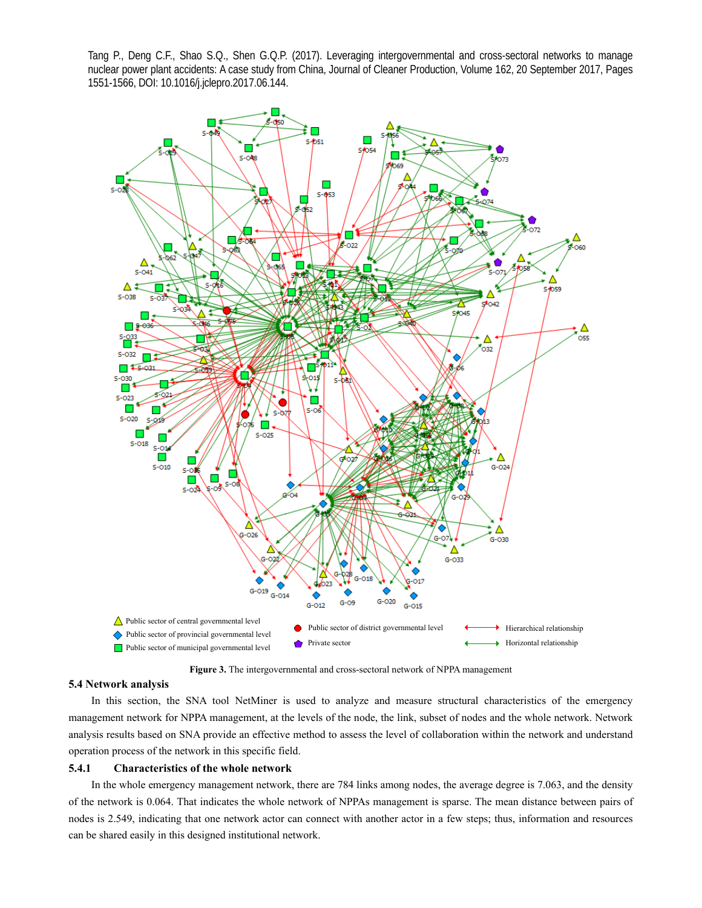

**Figure 3.** The intergovernmental and cross-sectoral network of NPPA management

### **5.4 Network analysis**

In this section, the SNA tool NetMiner is used to analyze and measure structural characteristics of the emergency management network for NPPA management, at the levels of the node, the link, subset of nodes and the whole network. Network analysis results based on SNA provide an effective method to assess the level of collaboration within the network and understand operation process of the network in this specific field.

#### **5.4.1 Characteristics of the whole network**

In the whole emergency management network, there are 784 links among nodes, the average degree is 7.063, and the density of the network is 0.064. That indicates the whole network of NPPAs management is sparse. The mean distance between pairs of nodes is 2.549, indicating that one network actor can connect with another actor in a few steps; thus, information and resources can be shared easily in this designed institutional network.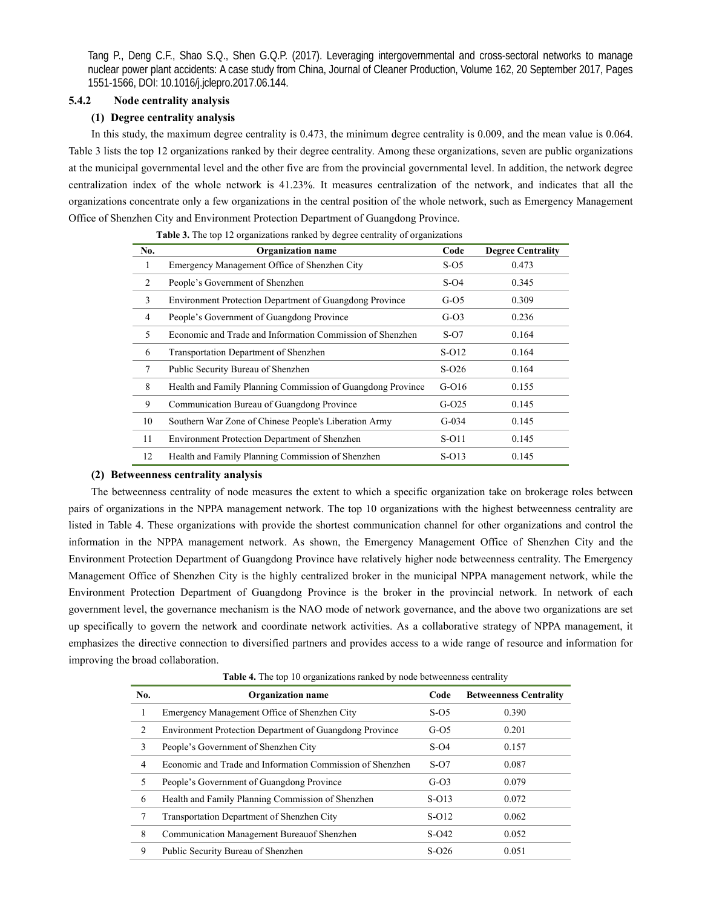## **5.4.2 Node centrality analysis**

## **(1) Degree centrality analysis**

In this study, the maximum degree centrality is 0.473, the minimum degree centrality is 0.009, and the mean value is 0.064. Table 3 lists the top 12 organizations ranked by their degree centrality. Among these organizations, seven are public organizations at the municipal governmental level and the other five are from the provincial governmental level. In addition, the network degree centralization index of the whole network is 41.23%. It measures centralization of the network, and indicates that all the organizations concentrate only a few organizations in the central position of the whole network, such as Emergency Management Office of Shenzhen City and Environment Protection Department of Guangdong Province.

**Table 3.** The top 12 organizations ranked by degree centrality of organizations

| No. | <b>Organization name</b>                                    | Code    | <b>Degree Centrality</b> |
|-----|-------------------------------------------------------------|---------|--------------------------|
| 1   | Emergency Management Office of Shenzhen City                | $S-O5$  | 0.473                    |
| 2   | People's Government of Shenzhen                             | $S-O4$  | 0.345                    |
| 3   | Environment Protection Department of Guangdong Province     | $G-O5$  | 0.309                    |
| 4   | People's Government of Guangdong Province                   | $G-O3$  | 0.236                    |
| 5   | Economic and Trade and Information Commission of Shenzhen   | $S-O7$  | 0.164                    |
| 6   | Transportation Department of Shenzhen                       | $S-O12$ | 0.164                    |
| 7   | Public Security Bureau of Shenzhen                          | $S-O26$ | 0.164                    |
| 8   | Health and Family Planning Commission of Guangdong Province | $G-O16$ | 0.155                    |
| 9   | Communication Bureau of Guangdong Province                  | $G-O25$ | 0.145                    |
| 10  | Southern War Zone of Chinese People's Liberation Army       | $G-034$ | 0.145                    |
| 11  | Environment Protection Department of Shenzhen               | $S-011$ | 0.145                    |
| 12  | Health and Family Planning Commission of Shenzhen           | $S-O13$ | 0.145                    |

#### **(2) Betweenness centrality analysis**

The betweenness centrality of node measures the extent to which a specific organization take on brokerage roles between pairs of organizations in the NPPA management network. The top 10 organizations with the highest betweenness centrality are listed in Table 4. These organizations with provide the shortest communication channel for other organizations and control the information in the NPPA management network. As shown, the Emergency Management Office of Shenzhen City and the Environment Protection Department of Guangdong Province have relatively higher node betweenness centrality. The Emergency Management Office of Shenzhen City is the highly centralized broker in the municipal NPPA management network, while the Environment Protection Department of Guangdong Province is the broker in the provincial network. In network of each government level, the governance mechanism is the NAO mode of network governance, and the above two organizations are set up specifically to govern the network and coordinate network activities. As a collaborative strategy of NPPA management, it emphasizes the directive connection to diversified partners and provides access to a wide range of resource and information for improving the broad collaboration.

**Table 4.** The top 10 organizations ranked by node betweenness centrality

| No. | <b>Organization name</b>                                  | Code    | <b>Betweenness Centrality</b> |
|-----|-----------------------------------------------------------|---------|-------------------------------|
|     | Emergency Management Office of Shenzhen City              | $S-OS$  | 0.390                         |
| 2   | Environment Protection Department of Guangdong Province   | $G-O5$  | 0.201                         |
| 3   | People's Government of Shenzhen City                      | $S-O4$  | 0.157                         |
| 4   | Economic and Trade and Information Commission of Shenzhen | $S-O7$  | 0.087                         |
| 5   | People's Government of Guangdong Province                 | $G-O3$  | 0.079                         |
| 6   | Health and Family Planning Commission of Shenzhen         | $S-O13$ | 0.072                         |
| 7   | Transportation Department of Shenzhen City                | $S-O12$ | 0.062                         |
| 8   | Communication Management Bureauof Shenzhen                | $S-042$ | 0.052                         |
| 9   | Public Security Bureau of Shenzhen                        | $S-O26$ | 0.051                         |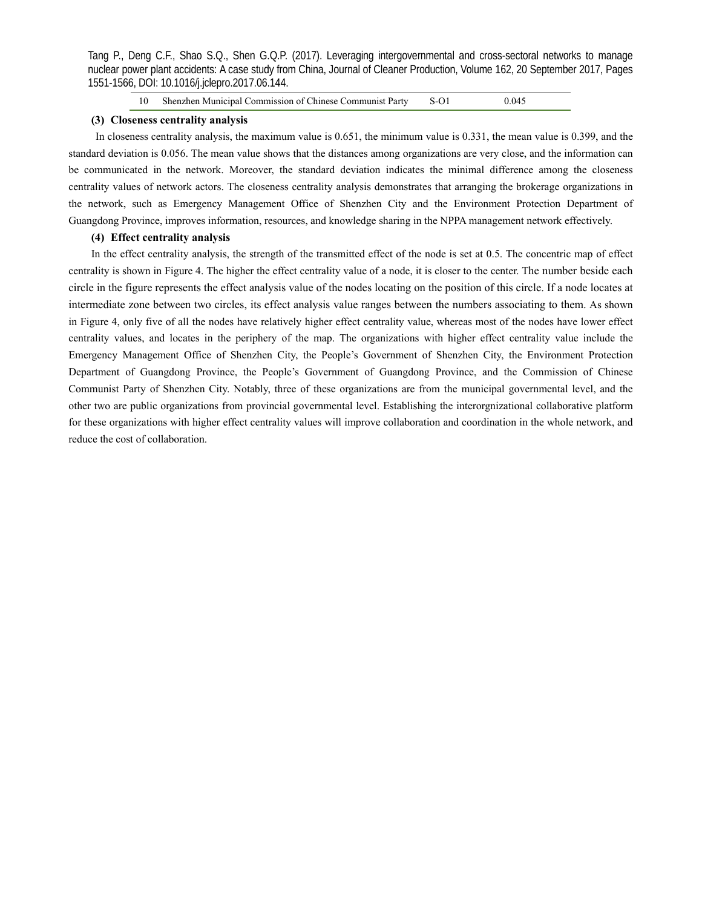10 Shenzhen Municipal Commission of Chinese Communist Party S-O1 0.045

## **(3) Closeness centrality analysis**

In closeness centrality analysis, the maximum value is 0.651, the minimum value is 0.331, the mean value is 0.399, and the standard deviation is 0.056. The mean value shows that the distances among organizations are very close, and the information can be communicated in the network. Moreover, the standard deviation indicates the minimal difference among the closeness centrality values of network actors. The closeness centrality analysis demonstrates that arranging the brokerage organizations in the network, such as Emergency Management Office of Shenzhen City and the Environment Protection Department of Guangdong Province, improves information, resources, and knowledge sharing in the NPPA management network effectively.

### **(4) Effect centrality analysis**

In the effect centrality analysis, the strength of the transmitted effect of the node is set at 0.5. The concentric map of effect centrality is shown in Figure 4. The higher the effect centrality value of a node, it is closer to the center. The number beside each circle in the figure represents the effect analysis value of the nodes locating on the position of this circle. If a node locates at intermediate zone between two circles, its effect analysis value ranges between the numbers associating to them. As shown in Figure 4, only five of all the nodes have relatively higher effect centrality value, whereas most of the nodes have lower effect centrality values, and locates in the periphery of the map. The organizations with higher effect centrality value include the Emergency Management Office of Shenzhen City, the People's Government of Shenzhen City, the Environment Protection Department of Guangdong Province, the People's Government of Guangdong Province, and the Commission of Chinese Communist Party of Shenzhen City. Notably, three of these organizations are from the municipal governmental level, and the other two are public organizations from provincial governmental level. Establishing the interorgnizational collaborative platform for these organizations with higher effect centrality values will improve collaboration and coordination in the whole network, and reduce the cost of collaboration.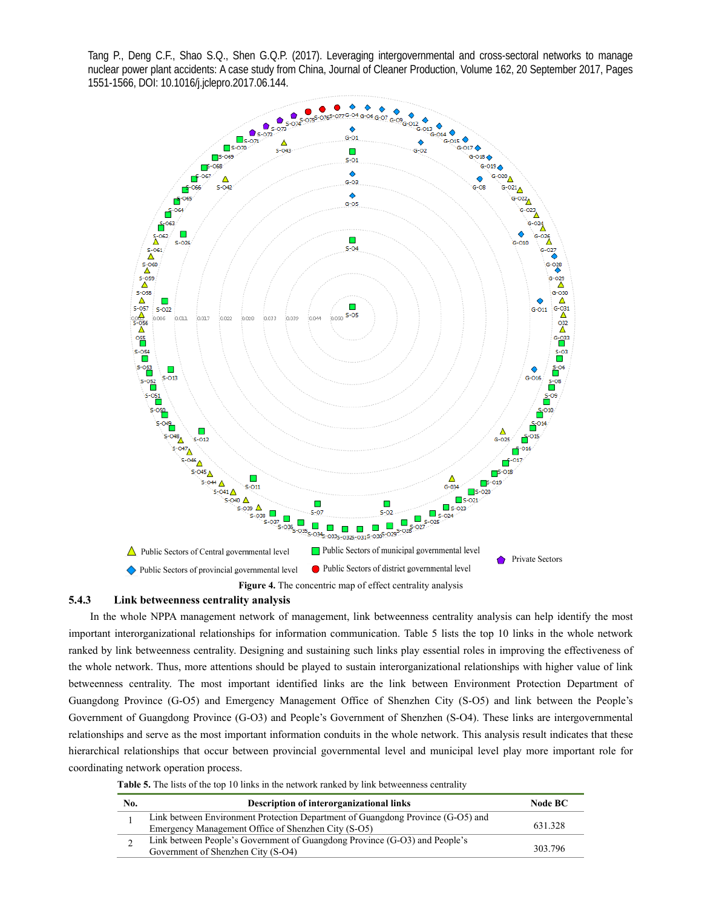

## **5.4.3 Link betweenness centrality analysis**

In the whole NPPA management network of management, link betweenness centrality analysis can help identify the most important interorganizational relationships for information communication. Table 5 lists the top 10 links in the whole network ranked by link betweenness centrality. Designing and sustaining such links play essential roles in improving the effectiveness of the whole network. Thus, more attentions should be played to sustain interorganizational relationships with higher value of link betweenness centrality. The most important identified links are the link between Environment Protection Department of Guangdong Province (G-O5) and Emergency Management Office of Shenzhen City (S-O5) and link between the People's Government of Guangdong Province (G-O3) and People's Government of Shenzhen (S-O4). These links are intergovernmental relationships and serve as the most important information conduits in the whole network. This analysis result indicates that these hierarchical relationships that occur between provincial governmental level and municipal level play more important role for coordinating network operation process.

| <b>Table 5.</b> The lists of the top 10 links in the network ranked by link betweenness centrality |  |
|----------------------------------------------------------------------------------------------------|--|
|----------------------------------------------------------------------------------------------------|--|

| No. | <b>Description of interorganizational links</b>                                                                                        | Node BC |
|-----|----------------------------------------------------------------------------------------------------------------------------------------|---------|
|     | Link between Environment Protection Department of Guangdong Province (G-O5) and<br>Emergency Management Office of Shenzhen City (S-O5) | 631.328 |
|     | Link between People's Government of Guangdong Province (G-O3) and People's<br>Government of Shenzhen City (S-O4)                       | 303.796 |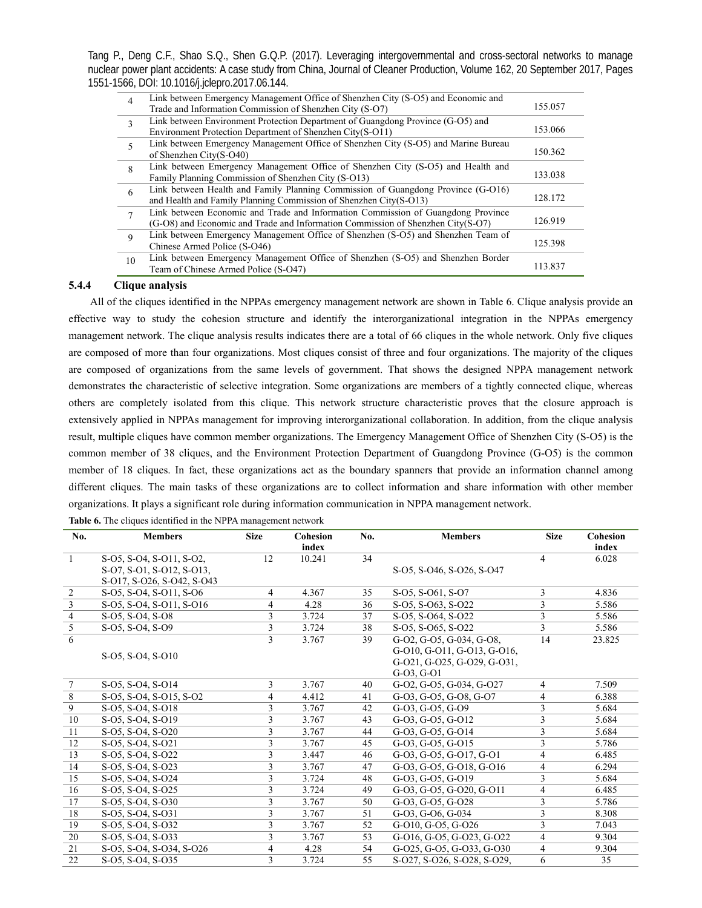| 4             | Link between Emergency Management Office of Shenzhen City (S-O5) and Economic and<br>Trade and Information Commission of Shenzhen City (S-O7)                       | 155.057 |
|---------------|---------------------------------------------------------------------------------------------------------------------------------------------------------------------|---------|
| $\mathbf{3}$  | Link between Environment Protection Department of Guangdong Province (G-O5) and<br>Environment Protection Department of Shenzhen City(S-O11)                        | 153.066 |
| 5             | Link between Emergency Management Office of Shenzhen City (S-O5) and Marine Bureau<br>of Shenzhen City(S-O40)                                                       | 150.362 |
| 8             | Link between Emergency Management Office of Shenzhen City (S-O5) and Health and<br>Family Planning Commission of Shenzhen City (S-O13)                              | 133.038 |
| 6             | Link between Health and Family Planning Commission of Guangdong Province (G-O16)<br>and Health and Family Planning Commission of Shenzhen City(S-O13)               | 128.172 |
| $\mathcal{I}$ | Link between Economic and Trade and Information Commission of Guangdong Province<br>(G-O8) and Economic and Trade and Information Commission of Shenzhen City(S-O7) | 126.919 |
| $\mathbf Q$   | Link between Emergency Management Office of Shenzhen (S-O5) and Shenzhen Team of<br>Chinese Armed Police (S-O46)                                                    | 125.398 |
| 10            | Link between Emergency Management Office of Shenzhen (S-O5) and Shenzhen Border<br>Team of Chinese Armed Police (S-O47)                                             | 113.837 |

## **5.4.4 Clique analysis**

All of the cliques identified in the NPPAs emergency management network are shown in Table 6. Clique analysis provide an effective way to study the cohesion structure and identify the interorganizational integration in the NPPAs emergency management network. The clique analysis results indicates there are a total of 66 cliques in the whole network. Only five cliques are composed of more than four organizations. Most cliques consist of three and four organizations. The majority of the cliques are composed of organizations from the same levels of government. That shows the designed NPPA management network demonstrates the characteristic of selective integration. Some organizations are members of a tightly connected clique, whereas others are completely isolated from this clique. This network structure characteristic proves that the closure approach is extensively applied in NPPAs management for improving interorganizational collaboration. In addition, from the clique analysis result, multiple cliques have common member organizations. The Emergency Management Office of Shenzhen City (S-O5) is the common member of 38 cliques, and the Environment Protection Department of Guangdong Province (G-O5) is the common member of 18 cliques. In fact, these organizations act as the boundary spanners that provide an information channel among different cliques. The main tasks of these organizations are to collect information and share information with other member organizations. It plays a significant role during information communication in NPPA management network.

| No.            | <b>Members</b>             | <b>Size</b>    | Cohesion | No. | <b>Members</b>              | <b>Size</b>    | <b>Cohesion</b> |
|----------------|----------------------------|----------------|----------|-----|-----------------------------|----------------|-----------------|
|                |                            |                | index    |     |                             |                | index           |
| $\overline{1}$ | S-05, S-04, S-011, S-02,   | 12             | 10.241   | 34  |                             | $\overline{4}$ | 6.028           |
|                | S-O7, S-O1, S-O12, S-O13,  |                |          |     | S-05, S-046, S-026, S-047   |                |                 |
|                | S-017, S-026, S-042, S-043 |                |          |     |                             |                |                 |
| 2              | S-O5, S-O4, S-O11, S-O6    | 4              | 4.367    | 35  | S-05, S-061, S-07           | 3              | 4.836           |
| $\overline{3}$ | S-05, S-04, S-011, S-016   | $\overline{4}$ | 4.28     | 36  | S-O5, S-O63, S-O22          | 3              | 5.586           |
| $\overline{4}$ | S-05, S-04, S-08           | 3              | 3.724    | 37  | S-O5, S-O64, S-O22          | 3              | 5.586           |
| $\overline{5}$ | S-O5, S-O4, S-O9           | 3              | 3.724    | 38  | S-O5, S-O65, S-O22          | 3              | 5.586           |
| 6              |                            | $\overline{3}$ | 3.767    | 39  | G-O2, G-O5, G-034, G-O8,    | 14             | 23.825          |
|                | S-O5, S-O4, S-O10          |                |          |     | G-010, G-011, G-013, G-016, |                |                 |
|                |                            |                |          |     | G-021, G-025, G-029, G-031, |                |                 |
|                |                            |                |          |     | $G-O3, G-O1$                |                |                 |
| $\tau$         | S-O5, S-O4, S-O14          | 3              | 3.767    | 40  | G-O2, G-O5, G-034, G-O27    | 4              | 7.509           |
| $8\,$          | S-O5, S-O4, S-O15, S-O2    | 4              | 4.412    | 41  | G-03, G-05, G-08, G-07      | 4              | 6.388           |
| 9              | S-O5, S-O4, S-O18          | 3              | 3.767    | 42  | G-03, G-05, G-09            | 3              | 5.684           |
| 10             | S-O5, S-O4, S-O19          | 3              | 3.767    | 43  | G-03, G-05, G-012           | 3              | 5.684           |
| 11             | S-O5, S-O4, S-O20          | 3              | 3.767    | 44  | G-03, G-05, G-014           | 3              | 5.684           |
| 12             | S-05, S-04, S-021          | 3              | 3.767    | 45  | G-03, G-05, G-015           | 3              | 5.786           |
| 13             | S-O5, S-O4, S-O22          | 3              | 3.447    | 46  | G-03, G-05, G-017, G-01     | 4              | 6.485           |
| 14             | S-O5, S-O4, S-O23          | 3              | 3.767    | 47  | G-03, G-05, G-018, G-016    | 4              | 6.294           |
| 15             | S-O5, S-O4, S-O24          | 3              | 3.724    | 48  | G-03, G-05, G-019           | 3              | 5.684           |
| 16             | S-O5, S-O4, S-O25          | 3              | 3.724    | 49  | G-03, G-05, G-020, G-011    | $\overline{4}$ | 6.485           |
| 17             | S-O5, S-O4, S-O30          | 3              | 3.767    | 50  | G-03, G-05, G-028           | 3              | 5.786           |
| 18             | S-O5, S-O4, S-O31          | 3              | 3.767    | 51  | G-03, G-06, G-034           | 3              | 8.308           |
| 19             | S-O5, S-O4, S-O32          | 3              | 3.767    | 52  | G-010, G-05, G-026          | 3              | 7.043           |
| 20             | S-O5, S-O4, S-O33          | 3              | 3.767    | 53  | G-016, G-05, G-023, G-022   | 4              | 9.304           |
| 21             | S-O5, S-O4, S-O34, S-O26   | 4              | 4.28     | 54  | G-025, G-05, G-033, G-030   | 4              | 9.304           |
| 22             | S-O5, S-O4, S-O35          | 3              | 3.724    | 55  | S-O27, S-O26, S-O28, S-O29, | 6              | 35              |

**Table 6.** The cliques identified in the NPPA management network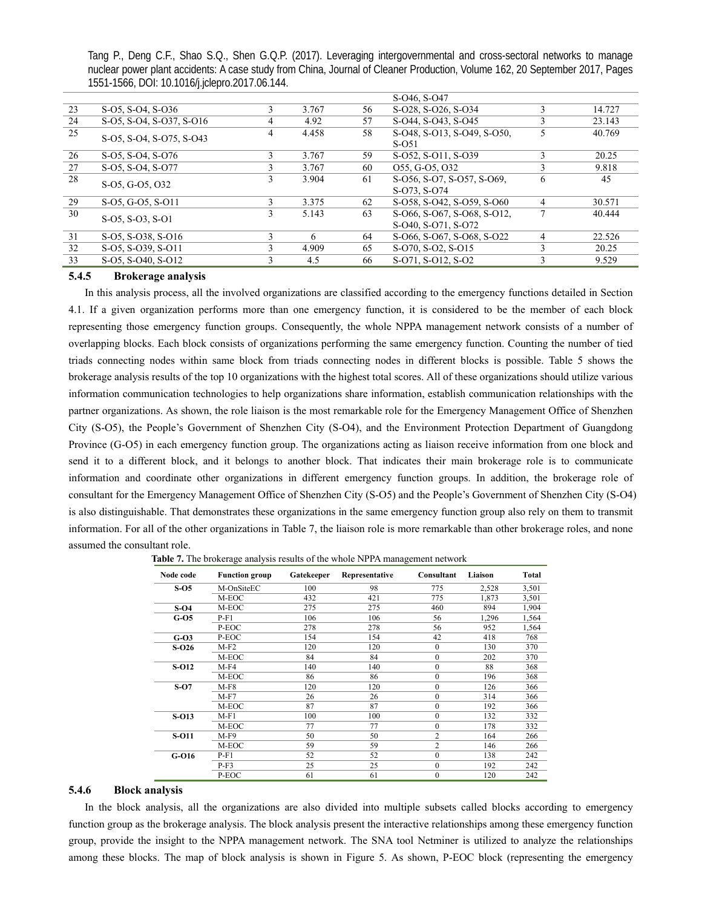|    |                          |   |       |    | S-046, S-047                |                |        |
|----|--------------------------|---|-------|----|-----------------------------|----------------|--------|
| 23 | S-05, S-04, S-036        | 3 | 3.767 | 56 | S-028, S-026, S-034         | 3              | 14.727 |
| 24 | S-O5, S-O4, S-O37, S-O16 | 4 | 4.92  | 57 | S-044, S-043, S-045         | 3              | 23.143 |
| 25 | S-O5, S-O4, S-O75, S-O43 | 4 | 4.458 | 58 | S-048, S-013, S-049, S-050, |                | 40.769 |
|    |                          |   |       |    | $S-051$                     |                |        |
| 26 | S-05, S-04, S-076        | 3 | 3.767 | 59 | S-052, S-011, S-039         | 3              | 20.25  |
| 27 | S-05, S-04, S-077        | 3 | 3.767 | 60 | O55, G-O5, O32              | 3              | 9.818  |
| 28 | S-05, G-05, 032          | 3 | 3.904 | 61 | S-056, S-07, S-057, S-069,  | 6              | 45     |
|    |                          |   |       |    | S-073, S-074                |                |        |
| 29 | S-05, G-05, S-011        | 3 | 3.375 | 62 | S-058, S-042, S-059, S-060  | 4              | 30.571 |
| 30 | S-05, S-03, S-01         | 3 | 5.143 | 63 | S-066, S-067, S-068, S-012, | 7              | 40.444 |
|    |                          |   |       |    | S-040, S-071, S-072         |                |        |
| 31 | S-O5, S-O38, S-O16       |   | 6     | 64 | S-O66, S-O67, S-O68, S-O22  | $\overline{4}$ | 22.526 |
| 32 | S-05, S-039, S-011       | 3 | 4.909 | 65 | S-O70, S-O2, S-O15          | 3              | 20.25  |
| 33 | S-O5, S-O40, S-O12       |   | 4.5   | 66 | S-071, S-012, S-02          | 3              | 9.529  |

Tang P., Deng C.F., Shao S.Q., Shen G.Q.P. (2017). Leveraging intergovernmental and cross-sectoral networks to manage nuclear power plant accidents: A case study from China, Journal of Cleaner Production, Volume 162, 20 September 2017, Pages 1551-1566, DOI: 10.1016/j.jclepro.2017.06.144.

## **5.4.5 Brokerage analysis**

In this analysis process, all the involved organizations are classified according to the emergency functions detailed in Section 4.1. If a given organization performs more than one emergency function, it is considered to be the member of each block representing those emergency function groups. Consequently, the whole NPPA management network consists of a number of overlapping blocks. Each block consists of organizations performing the same emergency function. Counting the number of tied triads connecting nodes within same block from triads connecting nodes in different blocks is possible. Table 5 shows the brokerage analysis results of the top 10 organizations with the highest total scores. All of these organizations should utilize various information communication technologies to help organizations share information, establish communication relationships with the partner organizations. As shown, the role liaison is the most remarkable role for the Emergency Management Office of Shenzhen City (S-O5), the People's Government of Shenzhen City (S-O4), and the Environment Protection Department of Guangdong Province (G-O5) in each emergency function group. The organizations acting as liaison receive information from one block and send it to a different block, and it belongs to another block. That indicates their main brokerage role is to communicate information and coordinate other organizations in different emergency function groups. In addition, the brokerage role of consultant for the Emergency Management Office of Shenzhen City (S-O5) and the People's Government of Shenzhen City (S-O4) is also distinguishable. That demonstrates these organizations in the same emergency function group also rely on them to transmit information. For all of the other organizations in Table 7, the liaison role is more remarkable than other brokerage roles, and none assumed the consultant role.

| Node code    | <b>Function group</b> | Gatekeeper | Representative | Consultant   | Liaison | Total |
|--------------|-----------------------|------------|----------------|--------------|---------|-------|
| $S-OS$       | M-OnSiteEC            | 100        | 98             | 775          | 2,528   | 3,501 |
|              | M-EOC                 | 432        | 421            | 775          | 1,873   | 3,501 |
| $S-04$       | M-EOC                 | 275        | 275            | 460          | 894     | 1,904 |
| $G-05$       | $P-F1$                | 106        | 106            | 56           | 1,296   | 1,564 |
|              | P-EOC                 | 278        | 278            | 56           | 952     | 1,564 |
| $G-O3$       | P-EOC                 | 154        | 154            | 42           | 418     | 768   |
| S-O26        | $M-F2$                | 120        | 120            | $\theta$     | 130     | 370   |
|              | M-EOC                 | 84         | 84             | $\mathbf{0}$ | 202     | 370   |
| <b>S-012</b> | $M-F4$                | 140        | 140            | $\theta$     | 88      | 368   |
|              | M-EOC                 | 86         | 86             | $\theta$     | 196     | 368   |
| $S-O7$       | $M-F8$                | 120        | 120            | $\mathbf{0}$ | 126     | 366   |
|              | $M-F7$                | 26         | 26             | $\mathbf{0}$ | 314     | 366   |
|              | M-EOC                 | 87         | 87             | $\theta$     | 192     | 366   |
| S-013        | $M-F1$                | 100        | 100            | $\theta$     | 132     | 332   |
|              | M-EOC                 | 77         | 77             | $\theta$     | 178     | 332   |
| S-011        | $M-F9$                | 50         | 50             | 2            | 164     | 266   |
|              | M-EOC                 | 59         | 59             | 2            | 146     | 266   |
| $G-016$      | $P-F1$                | 52         | 52             | $\theta$     | 138     | 242   |
|              | $P-F3$                | 25         | 25             | $\mathbf{0}$ | 192     | 242   |
|              | P-EOC                 | 61         | 61             | $\mathbf{0}$ | 120     | 242   |

**Table 7.** The brokerage analysis results of the whole NPPA management network

#### **5.4.6 Block analysis**

In the block analysis, all the organizations are also divided into multiple subsets called blocks according to emergency function group as the brokerage analysis. The block analysis present the interactive relationships among these emergency function group, provide the insight to the NPPA management network. The SNA tool Netminer is utilized to analyze the relationships among these blocks. The map of block analysis is shown in Figure 5. As shown, P-EOC block (representing the emergency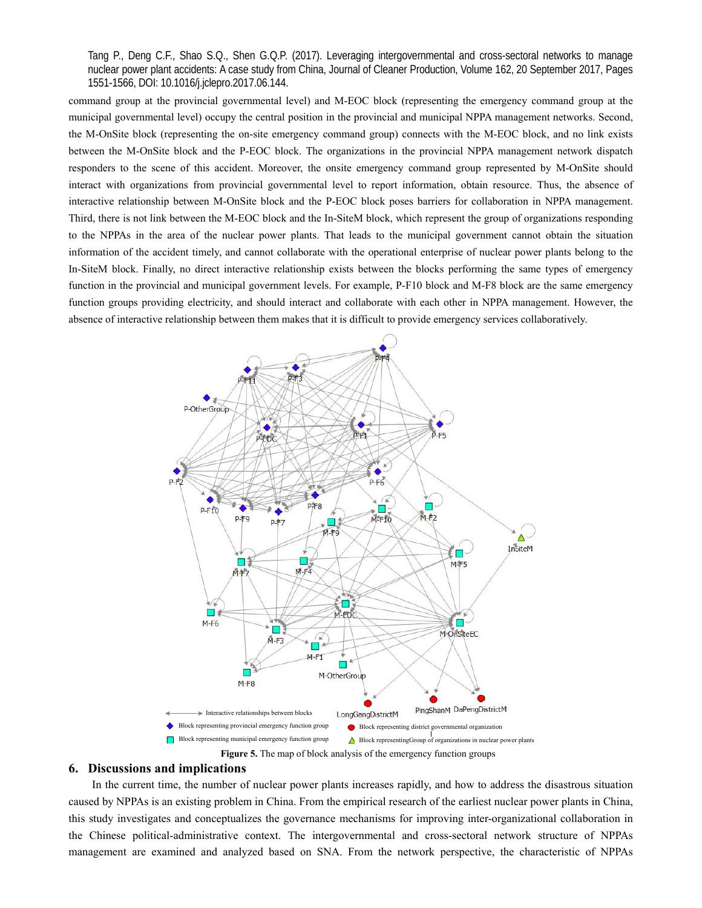command group at the provincial governmental level) and M-EOC block (representing the emergency command group at the municipal governmental level) occupy the central position in the provincial and municipal NPPA management networks. Second, the M-OnSite block (representing the on-site emergency command group) connects with the M-EOC block, and no link exists between the M-OnSite block and the P-EOC block. The organizations in the provincial NPPA management network dispatch responders to the scene of this accident. Moreover, the onsite emergency command group represented by M-OnSite should interact with organizations from provincial governmental level to report information, obtain resource. Thus, the absence of interactive relationship between M-OnSite block and the P-EOC block poses barriers for collaboration in NPPA management. Third, there is not link between the M-EOC block and the In-SiteM block, which represent the group of organizations responding to the NPPAs in the area of the nuclear power plants. That leads to the municipal government cannot obtain the situation information of the accident timely, and cannot collaborate with the operational enterprise of nuclear power plants belong to the In-SiteM block. Finally, no direct interactive relationship exists between the blocks performing the same types of emergency function in the provincial and municipal government levels. For example, P-F10 block and M-F8 block are the same emergency function groups providing electricity, and should interact and collaborate with each other in NPPA management. However, the absence of interactive relationship between them makes that it is difficult to provide emergency services collaboratively.



## **6. Discussions and implications**

In the current time, the number of nuclear power plants increases rapidly, and how to address the disastrous situation caused by NPPAs is an existing problem in China. From the empirical research of the earliest nuclear power plants in China, this study investigates and conceptualizes the governance mechanisms for improving inter-organizational collaboration in the Chinese political-administrative context. The intergovernmental and cross-sectoral network structure of NPPAs management are examined and analyzed based on SNA. From the network perspective, the characteristic of NPPAs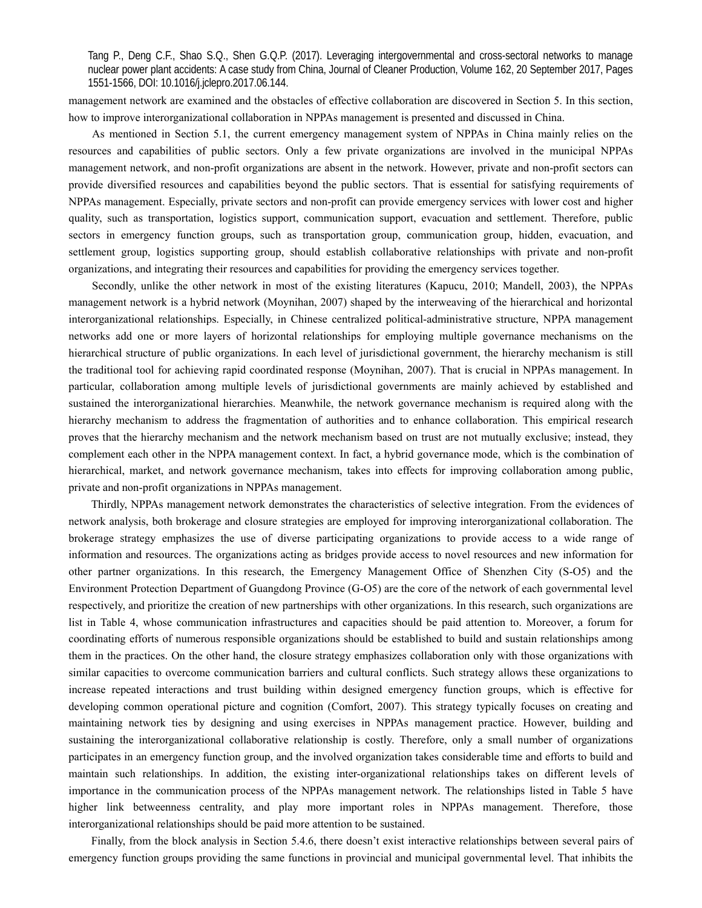management network are examined and the obstacles of effective collaboration are discovered in Section 5. In this section, how to improve interorganizational collaboration in NPPAs management is presented and discussed in China.

As mentioned in Section 5.1, the current emergency management system of NPPAs in China mainly relies on the resources and capabilities of public sectors. Only a few private organizations are involved in the municipal NPPAs management network, and non-profit organizations are absent in the network. However, private and non-profit sectors can provide diversified resources and capabilities beyond the public sectors. That is essential for satisfying requirements of NPPAs management. Especially, private sectors and non-profit can provide emergency services with lower cost and higher quality, such as transportation, logistics support, communication support, evacuation and settlement. Therefore, public sectors in emergency function groups, such as transportation group, communication group, hidden, evacuation, and settlement group, logistics supporting group, should establish collaborative relationships with private and non-profit organizations, and integrating their resources and capabilities for providing the emergency services together.

Secondly, unlike the other network in most of the existing literatures (Kapucu, 2010; Mandell, 2003), the NPPAs management network is a hybrid network (Moynihan, 2007) shaped by the interweaving of the hierarchical and horizontal interorganizational relationships. Especially, in Chinese centralized political-administrative structure, NPPA management networks add one or more layers of horizontal relationships for employing multiple governance mechanisms on the hierarchical structure of public organizations. In each level of jurisdictional government, the hierarchy mechanism is still the traditional tool for achieving rapid coordinated response (Moynihan, 2007). That is crucial in NPPAs management. In particular, collaboration among multiple levels of jurisdictional governments are mainly achieved by established and sustained the interorganizational hierarchies. Meanwhile, the network governance mechanism is required along with the hierarchy mechanism to address the fragmentation of authorities and to enhance collaboration. This empirical research proves that the hierarchy mechanism and the network mechanism based on trust are not mutually exclusive; instead, they complement each other in the NPPA management context. In fact, a hybrid governance mode, which is the combination of hierarchical, market, and network governance mechanism, takes into effects for improving collaboration among public, private and non-profit organizations in NPPAs management.

Thirdly, NPPAs management network demonstrates the characteristics of selective integration. From the evidences of network analysis, both brokerage and closure strategies are employed for improving interorganizational collaboration. The brokerage strategy emphasizes the use of diverse participating organizations to provide access to a wide range of information and resources. The organizations acting as bridges provide access to novel resources and new information for other partner organizations. In this research, the Emergency Management Office of Shenzhen City (S-O5) and the Environment Protection Department of Guangdong Province (G-O5) are the core of the network of each governmental level respectively, and prioritize the creation of new partnerships with other organizations. In this research, such organizations are list in Table 4, whose communication infrastructures and capacities should be paid attention to. Moreover, a forum for coordinating efforts of numerous responsible organizations should be established to build and sustain relationships among them in the practices. On the other hand, the closure strategy emphasizes collaboration only with those organizations with similar capacities to overcome communication barriers and cultural conflicts. Such strategy allows these organizations to increase repeated interactions and trust building within designed emergency function groups, which is effective for developing common operational picture and cognition (Comfort, 2007). This strategy typically focuses on creating and maintaining network ties by designing and using exercises in NPPAs management practice. However, building and sustaining the interorganizational collaborative relationship is costly. Therefore, only a small number of organizations participates in an emergency function group, and the involved organization takes considerable time and efforts to build and maintain such relationships. In addition, the existing inter-organizational relationships takes on different levels of importance in the communication process of the NPPAs management network. The relationships listed in Table 5 have higher link betweenness centrality, and play more important roles in NPPAs management. Therefore, those interorganizational relationships should be paid more attention to be sustained.

Finally, from the block analysis in Section 5.4.6, there doesn't exist interactive relationships between several pairs of emergency function groups providing the same functions in provincial and municipal governmental level. That inhibits the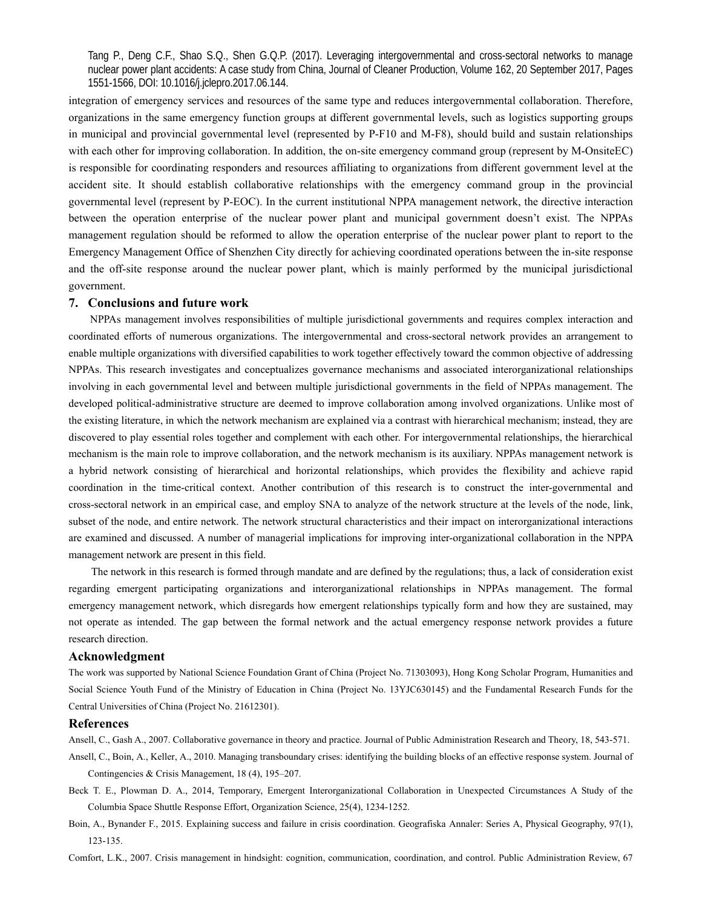integration of emergency services and resources of the same type and reduces intergovernmental collaboration. Therefore, organizations in the same emergency function groups at different governmental levels, such as logistics supporting groups in municipal and provincial governmental level (represented by P-F10 and M-F8), should build and sustain relationships with each other for improving collaboration. In addition, the on-site emergency command group (represent by M-OnsiteEC) is responsible for coordinating responders and resources affiliating to organizations from different government level at the accident site. It should establish collaborative relationships with the emergency command group in the provincial governmental level (represent by P-EOC). In the current institutional NPPA management network, the directive interaction between the operation enterprise of the nuclear power plant and municipal government doesn't exist. The NPPAs management regulation should be reformed to allow the operation enterprise of the nuclear power plant to report to the Emergency Management Office of Shenzhen City directly for achieving coordinated operations between the in-site response and the off-site response around the nuclear power plant, which is mainly performed by the municipal jurisdictional government.

### **7. Conclusions and future work**

NPPAs management involves responsibilities of multiple jurisdictional governments and requires complex interaction and coordinated efforts of numerous organizations. The intergovernmental and cross-sectoral network provides an arrangement to enable multiple organizations with diversified capabilities to work together effectively toward the common objective of addressing NPPAs. This research investigates and conceptualizes governance mechanisms and associated interorganizational relationships involving in each governmental level and between multiple jurisdictional governments in the field of NPPAs management. The developed political-administrative structure are deemed to improve collaboration among involved organizations. Unlike most of the existing literature, in which the network mechanism are explained via a contrast with hierarchical mechanism; instead, they are discovered to play essential roles together and complement with each other. For intergovernmental relationships, the hierarchical mechanism is the main role to improve collaboration, and the network mechanism is its auxiliary. NPPAs management network is a hybrid network consisting of hierarchical and horizontal relationships, which provides the flexibility and achieve rapid coordination in the time-critical context. Another contribution of this research is to construct the inter-governmental and cross-sectoral network in an empirical case, and employ SNA to analyze of the network structure at the levels of the node, link, subset of the node, and entire network. The network structural characteristics and their impact on interorganizational interactions are examined and discussed. A number of managerial implications for improving inter-organizational collaboration in the NPPA management network are present in this field.

The network in this research is formed through mandate and are defined by the regulations; thus, a lack of consideration exist regarding emergent participating organizations and interorganizational relationships in NPPAs management. The formal emergency management network, which disregards how emergent relationships typically form and how they are sustained, may not operate as intended. The gap between the formal network and the actual emergency response network provides a future research direction.

#### **Acknowledgment**

The work was supported by National Science Foundation Grant of China (Project No. 71303093), Hong Kong Scholar Program, Humanities and Social Science Youth Fund of the Ministry of Education in China (Project No. 13YJC630145) and the Fundamental Research Funds for the Central Universities of China (Project No. 21612301).

#### **References**

Ansell, C., Gash A., 2007. Collaborative governance in theory and practice. Journal of Public Administration Research and Theory, 18, 543-571.

- Ansell, C., Boin, A., Keller, A., 2010. Managing transboundary crises: identifying the building blocks of an effective response system. Journal of Contingencies & Crisis Management, 18 (4), 195–207.
- Beck T. E., Plowman D. A., 2014, Temporary, Emergent Interorganizational Collaboration in Unexpected Circumstances A Study of the Columbia Space Shuttle Response Effort, Organization Science, 25(4), 1234-1252.
- Boin, A., Bynander F., 2015. Explaining success and failure in crisis coordination. Geografiska Annaler: Series A, Physical Geography, 97(1), 123-135.

Comfort, L.K., 2007. Crisis management in hindsight: cognition, communication, coordination, and control. Public Administration Review, 67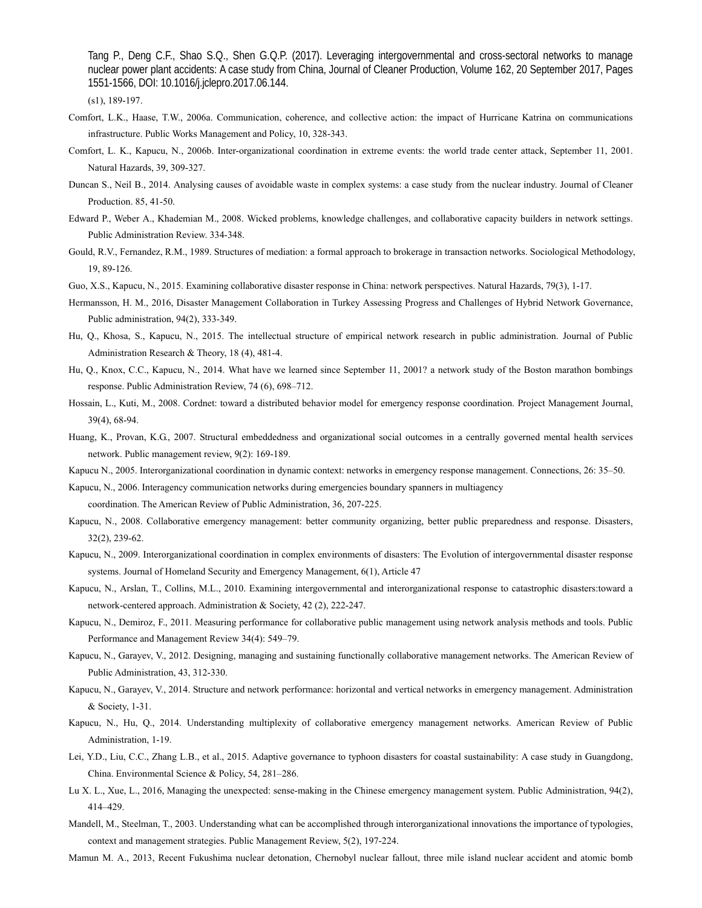(s1), 189-197.

- Comfort, L.K., Haase, T.W., 2006a. Communication, coherence, and collective action: the impact of Hurricane Katrina on communications infrastructure. Public Works Management and Policy, 10, 328-343.
- Comfort, L. K., Kapucu, N., 2006b. Inter-organizational coordination in extreme events: the world trade center attack, September 11, 2001. Natural Hazards, 39, 309-327.
- Duncan S., Neil B., 2014. Analysing causes of avoidable waste in complex systems: a case study from the nuclear industry. Journal of Cleaner Production. 85, 41-50.
- Edward P., Weber A., Khademian M., 2008. Wicked problems, knowledge challenges, and collaborative capacity builders in network settings. Public Administration Review. 334-348.
- Gould, R.V., Fernandez, R.M., 1989. Structures of mediation: a formal approach to brokerage in transaction networks. Sociological Methodology, 19, 89-126.
- Guo, X.S., Kapucu, N., 2015. Examining collaborative disaster response in China: network perspectives. Natural Hazards, 79(3), 1-17.
- Hermansson, H. M., 2016, Disaster Management Collaboration in Turkey Assessing Progress and Challenges of Hybrid Network Governance, Public administration, 94(2), 333-349.
- Hu, Q., Khosa, S., Kapucu, N., 2015. The intellectual structure of empirical network research in public administration. Journal of Public Administration Research & Theory, 18 (4), 481-4.
- Hu, Q., Knox, C.C., Kapucu, N., 2014. What have we learned since September 11, 2001? a network study of the Boston marathon bombings response. Public Administration Review, 74 (6), 698–712.
- Hossain, L., Kuti, M., 2008. Cordnet: toward a distributed behavior model for emergency response coordination. Project Management Journal, 39(4), 68-94.
- Huang, K., Provan, K.G., 2007. Structural embeddedness and organizational social outcomes in a centrally governed mental health services network. Public management review, 9(2): 169-189.
- Kapucu N., 2005. Interorganizational coordination in dynamic context: networks in emergency response management. Connections, 26: 35–50.
- Kapucu, N., 2006. Interagency communication networks during emergencies boundary spanners in multiagency

coordination. The American Review of Public Administration, 36, 207-225.

- Kapucu, N., 2008. Collaborative emergency management: better community organizing, better public preparedness and response. Disasters, 32(2), 239-62.
- Kapucu, N., 2009. Interorganizational coordination in complex environments of disasters: The Evolution of intergovernmental disaster response systems. Journal of Homeland Security and Emergency Management, 6(1), Article 47
- Kapucu, N., Arslan, T., Collins, M.L., 2010. Examining intergovernmental and interorganizational response to catastrophic disasters:toward a network-centered approach. Administration & Society, 42 (2), 222-247.
- Kapucu, N., Demiroz, F., 2011. Measuring performance for collaborative public management using network analysis methods and tools. Public Performance and Management Review 34(4): 549–79.
- Kapucu, N., Garayev, V., 2012. Designing, managing and sustaining functionally collaborative management networks. The American Review of Public Administration, 43, 312-330.
- Kapucu, N., Garayev, V., 2014. Structure and network performance: horizontal and vertical networks in emergency management. Administration & Society, 1-31.
- Kapucu, N., Hu, Q., 2014. Understanding multiplexity of collaborative emergency management networks. American Review of Public Administration, 1-19.
- Lei, Y.D., Liu, C.C., Zhang L.B., et al., 2015. Adaptive governance to typhoon disasters for coastal sustainability: A case study in Guangdong, China. Environmental Science & Policy, 54, 281–286.
- Lu X. L., Xue, L., 2016, Managing the unexpected: sense-making in the Chinese emergency management system. Public Administration, 94(2), 414–429.
- Mandell, M., Steelman, T., 2003. Understanding what can be accomplished through interorganizational innovations the importance of typologies, context and management strategies. Public Management Review, 5(2), 197-224.

Mamun M. A., 2013, Recent Fukushima nuclear detonation, Chernobyl nuclear fallout, three mile island nuclear accident and atomic bomb